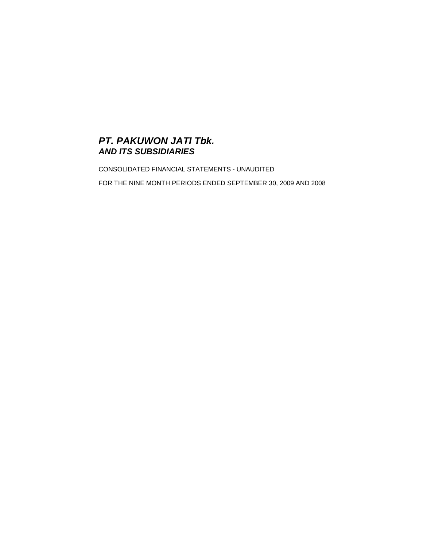# **PT. PAKUWON JATI Tbk. AND ITS SUBSIDIARIES**

CONSOLIDATED FINANCIAL STATEMENTS - UNAUDITED

FOR THE NINE MONTH PERIODS ENDED SEPTEMBER 30, 2009 AND 2008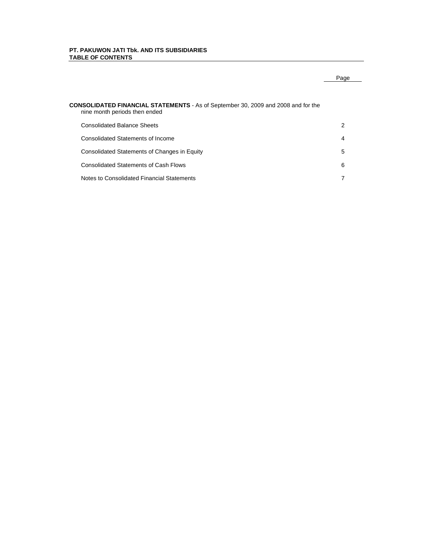# **PT. PAKUWON JATI Tbk. AND ITS SUBSIDIARIES TABLE OF CONTENTS**

# Page

# **CONSOLIDATED FINANCIAL STATEMENTS** - As of September 30, 2009 and 2008 and for the nine month periods then ended

| Consolidated Balance Sheets                  | $\mathcal{P}$  |
|----------------------------------------------|----------------|
| Consolidated Statements of Income            | $\overline{4}$ |
| Consolidated Statements of Changes in Equity | 5              |
| <b>Consolidated Statements of Cash Flows</b> | 6              |
| Notes to Consolidated Financial Statements   |                |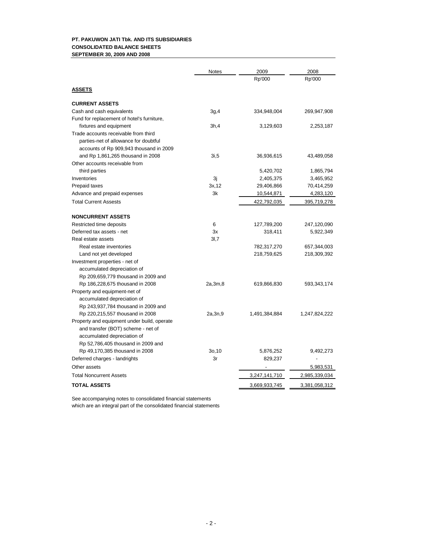# **PT. PAKUWON JATI Tbk. AND ITS SUBSIDIARIES CONSOLIDATED BALANCE SHEETS SEPTEMBER 30, 2009 AND 2008**

|                                             | <b>Notes</b> | 2009          | 2008          |
|---------------------------------------------|--------------|---------------|---------------|
|                                             |              | Rp'000        | Rp'000        |
| <b>ASSETS</b>                               |              |               |               |
| <b>CURRENT ASSETS</b>                       |              |               |               |
| Cash and cash equivalents                   | 3g,4         | 334,948,004   | 269,947,908   |
| Fund for replacement of hotel's furniture,  |              |               |               |
| fixtures and equipment                      | 3h,4         | 3,129,603     | 2,253,187     |
| Trade accounts receivable from third        |              |               |               |
| parties-net of allowance for doubtful       |              |               |               |
| accounts of Rp 909,943 thousand in 2009     |              |               |               |
| and Rp 1,861,265 thousand in 2008           | 3i,5         | 36,936,615    | 43,489,058    |
| Other accounts receivable from              |              |               |               |
| third parties                               |              | 5,420,702     | 1,865,794     |
| Inventories                                 | Зj           | 2,405,375     | 3,465,952     |
| Prepaid taxes                               | 3x, 12       | 29,406,866    | 70,414,259    |
| Advance and prepaid expenses                | 3k           | 10,544,871    | 4,283,120     |
| <b>Total Current Assests</b>                |              | 422,792,035   | 395,719,278   |
| <b>NONCURRENT ASSETS</b>                    |              |               |               |
| Restricted time deposits                    | 6            | 127,789,200   | 247,120,090   |
| Deferred tax assets - net                   | 3x           | 318,411       | 5,922,349     |
| Real estate assets                          | 3I,7         |               |               |
| Real estate inventories                     |              | 782,317,270   | 657,344,003   |
| Land not yet developed                      |              | 218,759,625   | 218,309,392   |
| Investment properties - net of              |              |               |               |
| accumulated depreciation of                 |              |               |               |
| Rp 209,659,779 thousand in 2009 and         |              |               |               |
| Rp 186,228,675 thousand in 2008             | 2a,3m,8      | 619,866,830   | 593,343,174   |
| Property and equipment-net of               |              |               |               |
| accumulated depreciation of                 |              |               |               |
| Rp 243,937,784 thousand in 2009 and         |              |               |               |
| Rp 220,215,557 thousand in 2008             | 2a,3n,9      | 1,491,384,884 | 1,247,824,222 |
| Property and equipment under build, operate |              |               |               |
| and transfer (BOT) scheme - net of          |              |               |               |
| accumulated depreciation of                 |              |               |               |
| Rp 52,786,405 thousand in 2009 and          |              |               |               |
| Rp 49,170,385 thousand in 2008              | 30,10        | 5,876,252     | 9,492,273     |
| Deferred charges - landrights               | 3r           | 829,237       |               |
| Other assets                                |              |               | 5,983,531     |
| <b>Total Noncurrent Assets</b>              |              | 3,247,141,710 | 2,985,339,034 |
| <b>TOTAL ASSETS</b>                         |              | 3,669,933,745 | 3,381,058,312 |

See accompanying notes to consolidated financial statements which are an integral part of the consolidated financial statements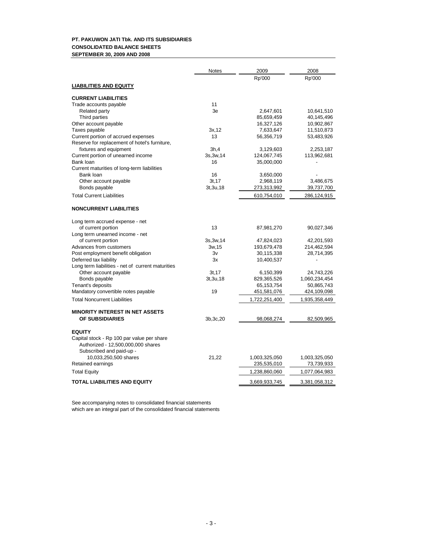# **PT. PAKUWON JATI Tbk. AND ITS SUBSIDIARIES CONSOLIDATED BALANCE SHEETS SEPTEMBER 30, 2009 AND 2008**

|                                                   | <b>Notes</b> | 2009          | 2008          |
|---------------------------------------------------|--------------|---------------|---------------|
|                                                   |              | Rp'000        | Rp'000        |
| <b>LIABILITIES AND EQUITY</b>                     |              |               |               |
|                                                   |              |               |               |
| <b>CURRENT LIABILITIES</b>                        |              |               |               |
| Trade accounts payable                            | 11           |               |               |
| Related party                                     | 3e           | 2,647,601     | 10,641,510    |
| Third parties                                     |              | 85,659,459    | 40,145,496    |
| Other account payable                             |              | 16,327,126    | 10,902,867    |
| Taxes payable                                     | 3x, 12       | 7,633,647     | 11,510,873    |
| Current portion of accrued expenses               | 13           | 56,356,719    | 53,483,926    |
| Reserve for replacement of hotel's furniture,     |              |               |               |
| fixtures and equipment                            | 3h,4         | 3,129,603     | 2,253,187     |
| Current portion of unearned income                | 3s, 3w, 14   | 124,067,745   | 113,962,681   |
| Bank loan                                         | 16           | 35,000,000    |               |
| Current maturities of long-term liabilities       |              |               |               |
| Bank loan                                         | 16           | 3,650,000     |               |
| Other account payable                             | 3t.17        | 2,968,119     | 3,486,675     |
| Bonds payable                                     | 3t, 3u, 18   | 273,313,992   | 39,737,700    |
| <b>Total Current Liabilities</b>                  |              | 610,754,010   | 286,124,915   |
|                                                   |              |               |               |
| <b>NONCURRENT LIABILITIES</b>                     |              |               |               |
| Long term accrued expense - net                   |              |               |               |
| of current portion                                | 13           | 87,981,270    | 90,027,346    |
| Long term unearned income - net                   |              |               |               |
| of current portion                                | 3s, 3w, 14   | 47,824,023    | 42,201,593    |
| Advances from customers                           | 3w, 15       | 193,679,478   | 214,462,594   |
| Post employment benefit obligation                | 3v           | 30,115,338    | 28,714,395    |
| Deferred tax liability                            | 3x           | 10,400,537    |               |
| Long term liabilities - net of current maturities |              |               |               |
| Other account payable                             | 3t, 17       | 6,150,399     | 24,743,226    |
| Bonds payable                                     | 3t, 3u, 18   | 829,365,526   | 1,060,234,454 |
| Tenant's deposits                                 |              | 65,153,754    | 50,865,743    |
| Mandatory convertible notes payable               | 19           | 451,581,076   | 424,109,098   |
| <b>Total Noncurrent Liabilities</b>               |              | 1,722,251,400 | 1,935,358,449 |
|                                                   |              |               |               |
| <b>MINORITY INTEREST IN NET ASSETS</b>            |              |               |               |
| OF SUBSIDIARIES                                   | 3b, 3c, 20   | 98,068,274    | 82,509,965    |
|                                                   |              |               |               |
| <b>EQUITY</b>                                     |              |               |               |
| Capital stock - Rp 100 par value per share        |              |               |               |
| Authorized - 12,500,000,000 shares                |              |               |               |
| Subscribed and paid-up -                          |              |               |               |
| 10,033,250,500 shares                             | 21,22        | 1,003,325,050 | 1,003,325,050 |
| Retained earnings                                 |              | 235,535,010   | 73,739,933    |
| <b>Total Equity</b>                               |              | 1,238,860,060 | 1,077,064,983 |
| <b>TOTAL LIABILITIES AND EQUITY</b>               |              | 3,669,933,745 | 3,381,058,312 |
|                                                   |              |               |               |

See accompanying notes to consolidated financial statements which are an integral part of the consolidated financial statements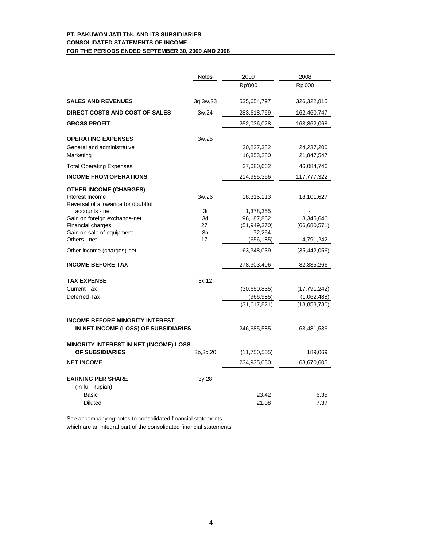# **PT. PAKUWON JATI Tbk. AND ITS SUBSIDIARIES CONSOLIDATED STATEMENTS OF INCOME FOR THE PERIODS ENDED SEPTEMBER 30, 2009 AND 2008**

|                                                           | Notes      | 2009                 | 2008           |
|-----------------------------------------------------------|------------|----------------------|----------------|
|                                                           |            | Rp'000               | Rp'000         |
| <b>SALES AND REVENUES</b>                                 | 3q, 3w, 23 | 535,654,797          | 326,322,815    |
| DIRECT COSTS AND COST OF SALES                            | 3w,24      | 283,618,769          | 162,460,747    |
| <b>GROSS PROFIT</b>                                       |            | 252,036,028          | 163,862,068    |
| <b>OPERATING EXPENSES</b>                                 | 3w,25      |                      |                |
| General and administrative                                |            | 20,227,382           | 24,237,200     |
| Marketing                                                 |            | 16,853,280           | 21,847,547     |
| <b>Total Operating Expenses</b>                           |            | 37,080,662           | 46,084,746     |
| <b>INCOME FROM OPERATIONS</b>                             |            | 214,955,366          | 117,777,322    |
| <b>OTHER INCOME (CHARGES)</b>                             |            |                      |                |
| Interest Income<br>Reversal of allowance for doubtful     | 3w,26      | 18,315,113           | 18,101,627     |
| accounts - net                                            | 3i         | 1,378,355            |                |
| Gain on foreign exchange-net                              | 3d         | 96,187,862           | 8,345,646      |
| Financial charges                                         | 27         | (51, 949, 370)       | (66,680,571)   |
| Gain on sale of equipment<br>Others - net                 | 3n<br>17   | 72,264<br>(656, 185) | 4,791,242      |
| Other income (charges)-net                                |            | 63,348,039           | (35, 442, 056) |
| <b>INCOME BEFORE TAX</b>                                  |            | 278,303,406          | 82,335,266     |
| <b>TAX EXPENSE</b>                                        | 3x, 12     |                      |                |
| <b>Current Tax</b>                                        |            | (30,650,835)         | (17, 791, 242) |
| Deferred Tax                                              |            | (966, 985)           | (1,062,488)    |
|                                                           |            | (31,617,821)         | (18, 853, 730) |
| <b>INCOME BEFORE MINORITY INTEREST</b>                    |            |                      |                |
| IN NET INCOME (LOSS) OF SUBSIDIARIES                      |            | 246,685,585          | 63,481,536     |
| MINORITY INTEREST IN NET (INCOME) LOSS<br>OF SUBSIDIARIES | 3b, 3c, 20 | (11,750,505)         | 189,069        |
| <b>NET INCOME</b>                                         |            | 234,935,080          | 63,670,605     |
| <b>EARNING PER SHARE</b>                                  |            |                      |                |
| (In full Rupiah)                                          | 3y,28      |                      |                |
| Basic                                                     |            | 23.42                | 6.35           |
| <b>Diluted</b>                                            |            | 21.08                | 7.37           |
|                                                           |            |                      |                |

See accompanying notes to consolidated financial statements

which are an integral part of the consolidated financial statements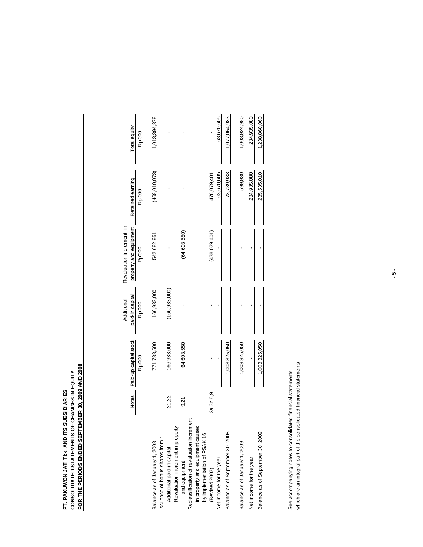# **PT. PAKUWON JATI TBK. AND ITS SUBSIDIARIES<br>CONSOLIDATED STATEMENTS OF CHANGES IN EQUITY<br>FOR THE PERIODS ENDED SEPTEMBER 30, 2009 AND 2008 FOR THE PERIODS ENDED SEPTEMBER 30, 2009 AND 2008 CONSOLIDATED STATEMENTS OF CHANGES IN EQUITY PT. PAKUWON JATI Tbk. AND ITS SUBSIDIARIES**

|                                                                                                               |              |                       | Additional      | Revaluation increment in |                  |               |
|---------------------------------------------------------------------------------------------------------------|--------------|-----------------------|-----------------|--------------------------|------------------|---------------|
|                                                                                                               | <b>Notes</b> | Paid-up capital stock | paid-in capital | property and equipment   | Retained earning | Total equity  |
|                                                                                                               |              | Rp'000                | Rp'000          | Rp'000                   | Rp'000           | Rp'000        |
| Issuance of bonus shares from:<br>Balance as of January 1, 2008                                               |              | 771,788,500           | 166,933,000     | 542,682,951              | (468,010,073)    | 1,013,394,378 |
| Revaluation increment in property<br>Additional paid-in capital                                               | 21,22        | 166,933,000           | (166, 933, 000) |                          |                  |               |
| and equipment                                                                                                 | 9,21         | 64,603,550            |                 | (64, 603, 550)           |                  |               |
| Reclassification of revaluation increment<br>in property and equipment caused<br>by implementation of PSAK 16 |              |                       |                 |                          |                  |               |
| (Revised 2007)                                                                                                | 2a, 3n, 8,9  |                       |                 | (478,079,401)            | 478,079,401      |               |
| Net income for the year                                                                                       |              |                       |                 |                          | 63,670,605       | 63,670,605    |
| Balance as of September 30, 2008                                                                              |              | 1,003,325,050         |                 |                          | 73,739,933       | 1,077,064,983 |
| Balance as of January 1, 2009                                                                                 |              | 1,003,325,050         |                 |                          | 599,930          | 1,003,924,980 |
| Net income for the year                                                                                       |              |                       |                 |                          | 234,935,080      | 234,935,080   |
| Balance as of September 30, 2009                                                                              |              | 1,003,325,050         |                 |                          | 235,535,010      | 1,238,860,060 |
|                                                                                                               |              |                       |                 |                          |                  |               |

which are an integral part of the consolidated financial statements which are an integral part of the consolidated financial statements See accompanying notes to consolidated financial statements See accompanying notes to consolidated financial statements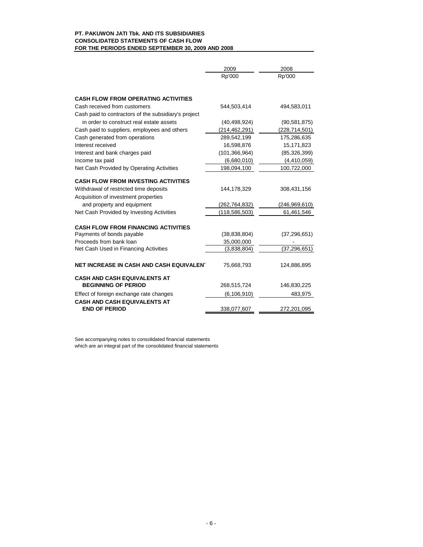# **PT. PAKUWON JATI Tbk. AND ITS SUBSIDIARIES CONSOLIDATED STATEMENTS OF CASH FLOW FOR THE PERIODS ENDED SEPTEMBER 30, 2009 AND 2008**

|                                                      | 2009            | 2008            |
|------------------------------------------------------|-----------------|-----------------|
|                                                      | Rp'000          | Rp'000          |
| <b>CASH FLOW FROM OPERATING ACTIVITIES</b>           |                 |                 |
| Cash received from customers                         | 544.503.414     | 494,583,011     |
| Cash paid to contractors of the subsidiary's project |                 |                 |
| in order to construct real estate assets             | (40, 498, 924)  | (90, 581, 875)  |
| Cash paid to suppliers, employees and others         | (214, 462, 291) | (228, 714, 501) |
| Cash generated from operations                       | 289,542,199     | 175,286,635     |
| Interest received                                    | 16,598,876      | 15,171,823      |
| Interest and bank charges paid                       | (101, 366, 964) | (85, 326, 399)  |
| Income tax paid                                      | (6,680,010)     | (4, 410, 059)   |
| Net Cash Provided by Operating Activities            | 198,094,100     | 100,722,000     |
|                                                      |                 |                 |
| <b>CASH FLOW FROM INVESTING ACTIVITIES</b>           |                 |                 |
| Withdrawal of restricted time deposits               | 144,178,329     | 308,431,156     |
| Acquisition of investment properties                 |                 |                 |
| and property and equipment                           | (262, 764, 832) | (246, 969, 610) |
| Net Cash Provided by Investing Activities            | (118, 586, 503) | 61,461,546      |
| <b>CASH FLOW FROM FINANCING ACTIVITIES</b>           |                 |                 |
| Payments of bonds payable                            | (38, 838, 804)  | (37, 296, 651)  |
| Proceeds from bank loan                              | 35,000,000      |                 |
| Net Cash Used in Financing Activities                | (3,838,804)     | (37, 296, 651)  |
|                                                      |                 |                 |
| NET INCREASE IN CASH AND CASH EQUIVALENT             | 75,668,793      | 124,886,895     |
| <b>CASH AND CASH EQUIVALENTS AT</b>                  |                 |                 |
| <b>BEGINNING OF PERIOD</b>                           | 268,515,724     | 146,830,225     |
| Effect of foreign exchange rate changes              | (6, 106, 910)   | 483,975         |
| <b>CASH AND CASH EQUIVALENTS AT</b>                  |                 |                 |
| <b>END OF PERIOD</b>                                 | 338,077,607     | 272,201,095     |

See accompanying notes to consolidated financial statements which are an integral part of the consolidated financial statements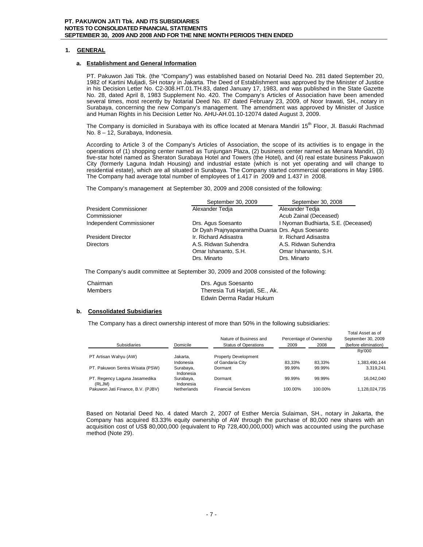# **1. GENERAL**

## **a. Establishment and General Information**

PT. Pakuwon Jati Tbk. (the "Company") was established based on Notarial Deed No. 281 dated September 20, 1982 of Kartini Muljadi, SH notary in Jakarta. The Deed of Establishment was approved by the Minister of Justice in his Decision Letter No. C2-308.HT.01.TH.83, dated January 17, 1983, and was published in the State Gazette No. 28, dated April 8, 1983 Supplement No. 420. The Company's Articles of Association have been amended several times, most recently by Notarial Deed No. 87 dated February 23, 2009, of Noor Irawati, SH., notary in Surabaya, concerning the new Company's management. The amendment was approved by Minister of Justice and Human Rights in his Decision Letter No. AHU-AH.01.10-12074 dated August 3, 2009.

The Company is domiciled in Surabaya with its office located at Menara Mandiri 15<sup>th</sup> Floor, Jl. Basuki Rachmad No. 8 – 12, Surabaya, Indonesia.

According to Article 3 of the Company's Articles of Association, the scope of its activities is to engage in the operations of (1) shopping center named as Tunjungan Plaza, (2) business center named as Menara Mandiri, (3) five-star hotel named as Sheraton Surabaya Hotel and Towers (the Hotel), and (4) real estate business Pakuwon City (formerly Laguna Indah Housing) and industrial estate (which is not yet operating and will change to residential estate), which are all situated in Surabaya. The Company started commercial operations in May 1986. The Company had average total number of employees of 1.417 in 2009 and 1.437 in 2008.

The Company's management at September 30, 2009 and 2008 consisted of the following:

|                               | September 30, 2009                                 | September 30, 2008                  |
|-------------------------------|----------------------------------------------------|-------------------------------------|
| <b>President Commissioner</b> | Alexander Tedia                                    | Alexander Tedia                     |
| Commissioner                  |                                                    | Acub Zainal (Deceased)              |
| Independent Commissioner      | Drs. Agus Soesanto                                 | I Nyoman Budhiarta, S.E. (Deceased) |
|                               | Dr Dyah Prajnyaparamitha Duarsa Drs. Agus Soesanto |                                     |
| <b>President Director</b>     | Ir. Richard Adisastra                              | Ir. Richard Adisastra               |
| <b>Directors</b>              | A.S. Ridwan Suhendra                               | A.S. Ridwan Suhendra                |
|                               | Omar Ishananto, S.H.                               | Omar Ishananto, S.H.                |
|                               | Drs. Minarto                                       | Drs. Minarto                        |

The Company's audit committee at September 30, 2009 and 2008 consisted of the following:

| Chairman       | Drs. Agus Soesanto              |
|----------------|---------------------------------|
| <b>Members</b> | Theresia Tuti Harjati, SE., Ak. |
|                | Edwin Derma Radar Hukum         |

# **b. Consolidated Subsidiaries**

The Company has a direct ownership interest of more than 50% in the following subsidiaries:

|                                         |                        | Nature of Business and      |         | Percentage of Ownership | Total Asset as of<br>September 30, 2009 |
|-----------------------------------------|------------------------|-----------------------------|---------|-------------------------|-----------------------------------------|
| Subsidiaries                            | Domicile               | <b>Status of Operations</b> | 2009    | 2008                    | (before elimination)                    |
|                                         |                        |                             |         |                         | Rp'000                                  |
| PT Artisan Wahyu (AW)                   | Jakarta,               | <b>Property Development</b> |         |                         |                                         |
|                                         | Indonesia              | of Gandaria City            | 83.33%  | 83.33%                  | 1,383,490,144                           |
| PT. Pakuwon Sentra Wisata (PSW)         | Surabaya,<br>Indonesia | Dormant                     | 99.99%  | 99.99%                  | 3.319.241                               |
| PT. Regency Laguna Jasamedika<br>(RLJM) | Surabaya,<br>Indonesia | Dormant                     | 99.99%  | 99.99%                  | 16.042.040                              |
| Pakuwon Jati Finance, B.V. (PJBV)       | <b>Netherlands</b>     | <b>Financial Services</b>   | 100.00% | 100.00%                 | 1,128,024,735                           |

Based on Notarial Deed No. 4 dated March 2, 2007 of Esther Mercia Sulaiman, SH., notary in Jakarta, the Company has acquired 83.33% equity ownership of AW through the purchase of 80,000 new shares with an acquisition cost of US\$ 80,000,000 (equivalent to Rp 728,400,000,000) which was accounted using the purchase method (Note 29).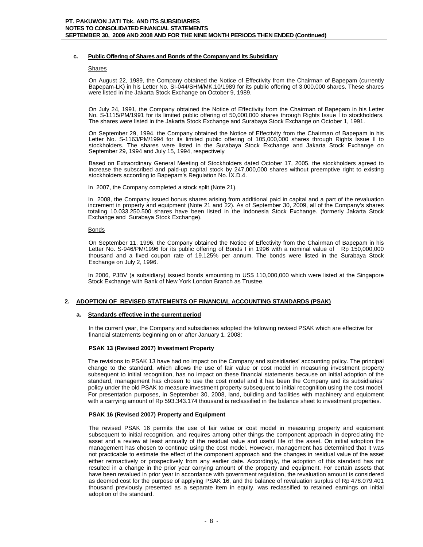# **c. Public Offering of Shares and Bonds of the Company and Its Subsidiary**

## **Shares**

On August 22, 1989, the Company obtained the Notice of Effectivity from the Chairman of Bapepam (currently Bapepam-LK) in his Letter No. SI-044/SHM/MK.10/1989 for its public offering of 3,000,000 shares. These shares were listed in the Jakarta Stock Exchange on October 9, 1989.

On July 24, 1991, the Company obtained the Notice of Effectivity from the Chairman of Bapepam in his Letter No. S-1115/PM/1991 for its limited public offering of 50,000,000 shares through Rights Issue I to stockholders. The shares were listed in the Jakarta Stock Exchange and Surabaya Stock Exchange on October 1, 1991.

On September 29, 1994, the Company obtained the Notice of Effectivity from the Chairman of Bapepam in his Letter No. S-1163/PM/1994 for its limited public offering of 105,000,000 shares through Rights Issue II to stockholders. The shares were listed in the Surabaya Stock Exchange and Jakarta Stock Exchange on September 29, 1994 and July 15, 1994, respectively

Based on Extraordinary General Meeting of Stockholders dated October 17, 2005, the stockholders agreed to increase the subscribed and paid-up capital stock by 247,000,000 shares without preemptive right to existing stockholders according to Bapepam's Regulation No. IX.D.4.

In 2007, the Company completed a stock split (Note 21).

In 2008, the Company issued bonus shares arising from additional paid in capital and a part of the revaluation increment in property and equipment (Note 21 and 22). As of September 30, 2009, all of the Company's shares totaling 10.033.250.500 shares have been listed in the Indonesia Stock Exchange. (formerly Jakarta Stock Exchange and Surabaya Stock Exchange).

## **Bonds**

On September 11, 1996, the Company obtained the Notice of Effectivity from the Chairman of Bapepam in his Letter No. S-946/PM/1996 for its public offering of Bonds I in 1996 with a nominal value of Rp 150,000,000 thousand and a fixed coupon rate of 19.125% per annum. The bonds were listed in the Surabaya Stock Exchange on July 2, 1996.

In 2006, PJBV (a subsidiary) issued bonds amounting to US\$ 110,000,000 which were listed at the Singapore Stock Exchange with Bank of New York London Branch as Trustee.

# **2. ADOPTION OF REVISED STATEMENTS OF FINANCIAL ACCOUNTING STANDARDS (PSAK)**

# **a. Standards effective in the current period**

In the current year, the Company and subsidiaries adopted the following revised PSAK which are effective for financial statements beginning on or after January 1, 2008:

# **PSAK 13 (Revised 2007) Investment Property**

The revisions to PSAK 13 have had no impact on the Company and subsidiaries' accounting policy. The principal change to the standard, which allows the use of fair value or cost model in measuring investment property subsequent to initial recognition, has no impact on these financial statements because on initial adoption of the standard, management has chosen to use the cost model and it has been the Company and its subsidiaries' policy under the old PSAK to measure investment property subsequent to initial recognition using the cost model. For presentation purposes, in September 30, 2008, land, building and facilities with machinery and equipment with a carrying amount of Rp 593.343.174 thousand is reclassified in the balance sheet to investment properties.

# **PSAK 16 (Revised 2007) Property and Equipment**

The revised PSAK 16 permits the use of fair value or cost model in measuring property and equipment subsequent to initial recognition, and requires among other things the component approach in depreciating the asset and a review at least annually of the residual value and useful life of the asset. On initial adoption the management has chosen to continue using the cost model. However, management has determined that it was not practicable to estimate the effect of the component approach and the changes in residual value of the asset either retroactively or prospectively from any earlier date. Accordingly, the adoption of this standard has not resulted in a change in the prior year carrying amount of the property and equipment. For certain assets that have been revalued in prior year in accordance with government regulation, the revaluation amount is considered as deemed cost for the purpose of applying PSAK 16, and the balance of revaluation surplus of Rp 478.079.401 thousand previously presented as a separate item in equity, was reclassified to retained earnings on initial adoption of the standard.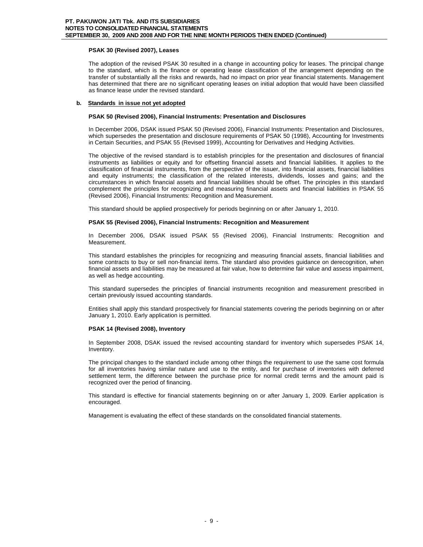# **PSAK 30 (Revised 2007), Leases**

The adoption of the revised PSAK 30 resulted in a change in accounting policy for leases. The principal change to the standard, which is the finance or operating lease classification of the arrangement depending on the transfer of substantially all the risks and rewards, had no impact on prior year financial statements. Management has determined that there are no significant operating leases on initial adoption that would have been classified as finance lease under the revised standard.

# **b. Standards in issue not yet adopted**

# **PSAK 50 (Revised 2006), Financial Instruments: Presentation and Disclosures**

In December 2006, DSAK issued PSAK 50 (Revised 2006), Financial Instruments: Presentation and Disclosures, which supersedes the presentation and disclosure requirements of PSAK 50 (1998), Accounting for Investments in Certain Securities, and PSAK 55 (Revised 1999), Accounting for Derivatives and Hedging Activities.

The objective of the revised standard is to establish principles for the presentation and disclosures of financial instruments as liabilities or equity and for offsetting financial assets and financial liabilities. It applies to the classification of financial instruments, from the perspective of the issuer, into financial assets, financial liabilities and equity instruments; the classification of the related interests, dividends, losses and gains; and the circumstances in which financial assets and financial liabilities should be offset. The principles in this standard complement the principles for recognizing and measuring financial assets and financial liabilities in PSAK 55 (Revised 2006), Financial Instruments: Recognition and Measurement.

This standard should be applied prospectively for periods beginning on or after January 1, 2010.

# **PSAK 55 (Revised 2006), Financial Instruments: Recognition and Measurement**

In December 2006, DSAK issued PSAK 55 (Revised 2006), Financial Instruments: Recognition and Measurement.

This standard establishes the principles for recognizing and measuring financial assets, financial liabilities and some contracts to buy or sell non-financial items. The standard also provides guidance on derecognition, when financial assets and liabilities may be measured at fair value, how to determine fair value and assess impairment, as well as hedge accounting.

This standard supersedes the principles of financial instruments recognition and measurement prescribed in certain previously issued accounting standards.

Entities shall apply this standard prospectively for financial statements covering the periods beginning on or after January 1, 2010. Early application is permitted.

# **PSAK 14 (Revised 2008), Inventory**

In September 2008, DSAK issued the revised accounting standard for inventory which supersedes PSAK 14, Inventory.

The principal changes to the standard include among other things the requirement to use the same cost formula for all inventories having similar nature and use to the entity, and for purchase of inventories with deferred settlement term, the difference between the purchase price for normal credit terms and the amount paid is recognized over the period of financing.

This standard is effective for financial statements beginning on or after January 1, 2009. Earlier application is encouraged.

Management is evaluating the effect of these standards on the consolidated financial statements.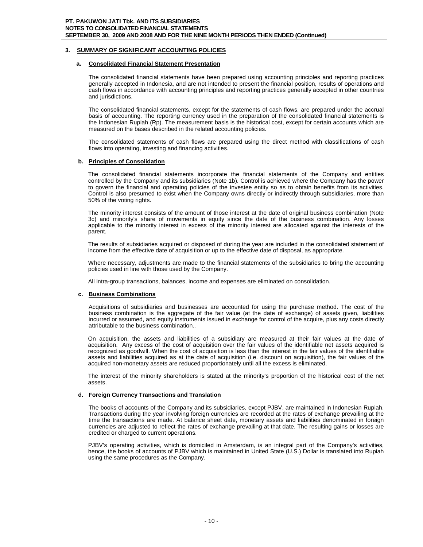# **3. SUMMARY OF SIGNIFICANT ACCOUNTING POLICIES**

# **a. Consolidated Financial Statement Presentation**

The consolidated financial statements have been prepared using accounting principles and reporting practices generally accepted in Indonesia, and are not intended to present the financial position, results of operations and cash flows in accordance with accounting principles and reporting practices generally accepted in other countries and jurisdictions.

The consolidated financial statements, except for the statements of cash flows, are prepared under the accrual basis of accounting. The reporting currency used in the preparation of the consolidated financial statements is the Indonesian Rupiah (Rp). The measurement basis is the historical cost, except for certain accounts which are measured on the bases described in the related accounting policies.

The consolidated statements of cash flows are prepared using the direct method with classifications of cash flows into operating, investing and financing activities.

## **b. Principles of Consolidation**

The consolidated financial statements incorporate the financial statements of the Company and entities controlled by the Company and its subsidiaries (Note 1b). Control is achieved where the Company has the power to govern the financial and operating policies of the investee entity so as to obtain benefits from its activities. Control is also presumed to exist when the Company owns directly or indirectly through subsidiaries, more than 50% of the voting rights.

The minority interest consists of the amount of those interest at the date of original business combination (Note 3c) and minority's share of movements in equity since the date of the business combination. Any losses applicable to the minority interest in excess of the minority interest are allocated against the interests of the parent.

The results of subsidiaries acquired or disposed of during the year are included in the consolidated statement of income from the effective date of acquisition or up to the effective date of disposal, as appropriate.

Where necessary, adjustments are made to the financial statements of the subsidiaries to bring the accounting policies used in line with those used by the Company.

All intra-group transactions, balances, income and expenses are eliminated on consolidation.

# **c. Business Combinations**

Acquisitions of subsidiaries and businesses are accounted for using the purchase method. The cost of the business combination is the aggregate of the fair value (at the date of exchange) of assets given, liabilities incurred or assumed, and equity instruments issued in exchange for control of the acquire, plus any costs directly attributable to the business combination..

On acquisition, the assets and liabilities of a subsidiary are measured at their fair values at the date of acquisition. Any excess of the cost of acquisition over the fair values of the identifiable net assets acquired is recognized as goodwill. When the cost of acquisition is less than the interest in the fair values of the identifiable assets and liabilities acquired as at the date of acquisition (i.e. discount on acquisition), the fair values of the acquired non-monetary assets are reduced proportionately until all the excess is eliminated.

The interest of the minority shareholders is stated at the minority's proportion of the historical cost of the net assets.

## **d. Foreign Currency Transactions and Translation**

The books of accounts of the Company and its subsidiaries, except PJBV, are maintained in Indonesian Rupiah. Transactions during the year involving foreign currencies are recorded at the rates of exchange prevailing at the time the transactions are made. At balance sheet date, monetary assets and liabilities denominated in foreign currencies are adjusted to reflect the rates of exchange prevailing at that date. The resulting gains or losses are credited or charged to current operations.

PJBV's operating activities, which is domiciled in Amsterdam, is an integral part of the Company's activities, hence, the books of accounts of PJBV which is maintained in United State (U.S.) Dollar is translated into Rupiah using the same procedures as the Company.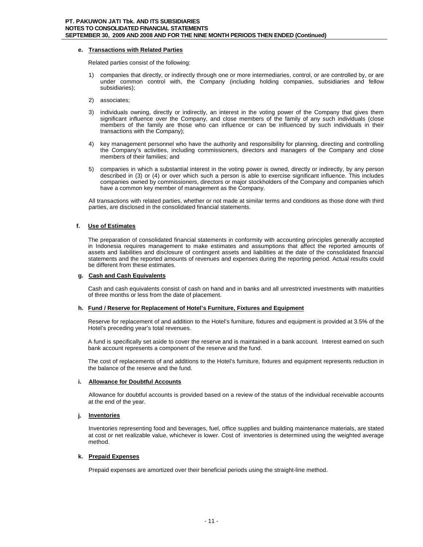# **e. Transactions with Related Parties**

Related parties consist of the following:

- 1) companies that directly, or indirectly through one or more intermediaries, control, or are controlled by, or are under common control with, the Company (including holding companies, subsidiaries and fellow subsidiaries);
- 2) associates;
- 3) individuals owning, directly or indirectly, an interest in the voting power of the Company that gives them significant influence over the Company, and close members of the family of any such individuals (close members of the family are those who can influence or can be influenced by such individuals in their transactions with the Company);
- 4) key management personnel who have the authority and responsibility for planning, directing and controlling the Company's activities, including commissioners, directors and managers of the Company and close members of their families; and
- 5) companies in which a substantial interest in the voting power is owned, directly or indirectly, by any person described in (3) or (4) or over which such a person is able to exercise significant influence. This includes companies owned by commissioners, directors or major stockholders of the Company and companies which have a common key member of management as the Company.

All transactions with related parties, whether or not made at similar terms and conditions as those done with third parties, are disclosed in the consolidated financial statements.

# **f. Use of Estimates**

The preparation of consolidated financial statements in conformity with accounting principles generally accepted in Indonesia requires management to make estimates and assumptions that affect the reported amounts of assets and liabilities and disclosure of contingent assets and liabilities at the date of the consolidated financial statements and the reported amounts of revenues and expenses during the reporting period. Actual results could be different from these estimates.

# **g. Cash and Cash Equivalents**

Cash and cash equivalents consist of cash on hand and in banks and all unrestricted investments with maturities of three months or less from the date of placement.

# **h. Fund / Reserve for Replacement of Hotel's Furniture, Fixtures and Equipment**

Reserve for replacement of and addition to the Hotel's furniture, fixtures and equipment is provided at 3.5% of the Hotel's preceding year's total revenues.

A fund is specifically set aside to cover the reserve and is maintained in a bank account. Interest earned on such bank account represents a component of the reserve and the fund.

The cost of replacements of and additions to the Hotel's furniture, fixtures and equipment represents reduction in the balance of the reserve and the fund.

# **i. Allowance for Doubtful Accounts**

Allowance for doubtful accounts is provided based on a review of the status of the individual receivable accounts at the end of the year.

# **j. Inventories**

Inventories representing food and beverages, fuel, office supplies and building maintenance materials, are stated at cost or net realizable value, whichever is lower. Cost of inventories is determined using the weighted average method.

# **k. Prepaid Expenses**

Prepaid expenses are amortized over their beneficial periods using the straight-line method.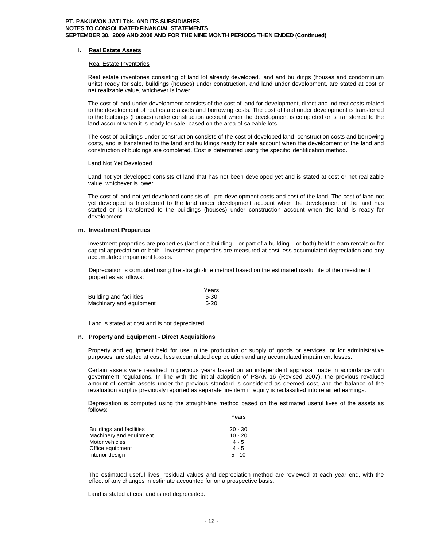# **l. Real Estate Assets**

## Real Estate Inventories

Real estate inventories consisting of land lot already developed, land and buildings (houses and condominium units) ready for sale, buildings (houses) under construction, and land under development, are stated at cost or net realizable value, whichever is lower.

The cost of land under development consists of the cost of land for development, direct and indirect costs related to the development of real estate assets and borrowing costs. The cost of land under development is transferred to the buildings (houses) under construction account when the development is completed or is transferred to the land account when it is ready for sale, based on the area of saleable lots.

The cost of buildings under construction consists of the cost of developed land, construction costs and borrowing costs, and is transferred to the land and buildings ready for sale account when the development of the land and construction of buildings are completed. Cost is determined using the specific identification method.

## Land Not Yet Developed

Land not yet developed consists of land that has not been developed yet and is stated at cost or net realizable value, whichever is lower.

The cost of land not yet developed consists of pre-development costs and cost of the land. The cost of land not yet developed is transferred to the land under development account when the development of the land has started or is transferred to the buildings (houses) under construction account when the land is ready for development.

# **m. Investment Properties**

Investment properties are properties (land or a building – or part of a building – or both) held to earn rentals or for capital appreciation or both. Investment properties are measured at cost less accumulated depreciation and any accumulated impairment losses.

Depreciation is computed using the straight-line method based on the estimated useful life of the investment properties as follows:

|                         | Years  |
|-------------------------|--------|
| Building and facilities | $5-30$ |
| Machinary and equipment | $5-20$ |

Land is stated at cost and is not depreciated.

# **n. Property and Equipment - Direct Acquisitions**

Property and equipment held for use in the production or supply of goods or services, or for administrative purposes, are stated at cost, less accumulated depreciation and any accumulated impairment losses.

Certain assets were revalued in previous years based on an independent appraisal made in accordance with government regulations. In line with the initial adoption of PSAK 16 (Revised 2007), the previous revalued amount of certain assets under the previous standard is considered as deemed cost, and the balance of the revaluation surplus previously reported as separate line item in equity is reclassified into retained earnings.

Depreciation is computed using the straight-line method based on the estimated useful lives of the assets as follows:

|                                 | Years     |
|---------------------------------|-----------|
|                                 |           |
| <b>Buildings and facilities</b> | $20 - 30$ |
| Machinery and equipment         | $10 - 20$ |
| Motor vehicles                  | $4 - 5$   |
| Office equipment                | $4 - 5$   |
| Interior design                 | $5 - 10$  |

The estimated useful lives, residual values and depreciation method are reviewed at each year end, with the effect of any changes in estimate accounted for on a prospective basis.

Land is stated at cost and is not depreciated.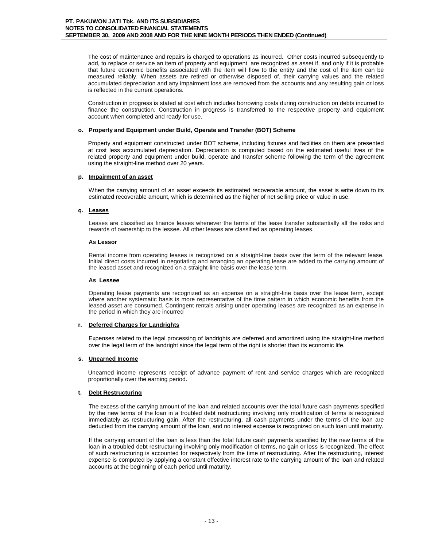The cost of maintenance and repairs is charged to operations as incurred. Other costs incurred subsequently to add, to replace or service an item of property and equipment, are recognized as asset if, and only if it is probable that future economic benefits associated with the item will flow to the entity and the cost of the item can be measured reliably. When assets are retired or otherwise disposed of, their carrying values and the related accumulated depreciation and any impairment loss are removed from the accounts and any resulting gain or loss is reflected in the current operations.

Construction in progress is stated at cost which includes borrowing costs during construction on debts incurred to finance the construction. Construction in progress is transferred to the respective property and equipment account when completed and ready for use.

## **o. Property and Equipment under Build, Operate and Transfer (BOT) Scheme**

Property and equipment constructed under BOT scheme, including fixtures and facilities on them are presented at cost less accumulated depreciation. Depreciation is computed based on the estimated useful lives of the related property and equipment under build, operate and transfer scheme following the term of the agreement using the straight-line method over 20 years.

## **p. Impairment of an asset**

When the carrying amount of an asset exceeds its estimated recoverable amount, the asset is write down to its estimated recoverable amount, which is determined as the higher of net selling price or value in use.

## **q. Leases**

Leases are classified as finance leases whenever the terms of the lease transfer substantially all the risks and rewards of ownership to the lessee. All other leases are classified as operating leases.

## **As Lessor**

Rental income from operating leases is recognized on a straight-line basis over the term of the relevant lease. Initial direct costs incurred in negotiating and arranging an operating lease are added to the carrying amount of the leased asset and recognized on a straight-line basis over the lease term.

## **As Lessee**

Operating lease payments are recognized as an expense on a straight-line basis over the lease term, except where another systematic basis is more representative of the time pattern in which economic benefits from the leased asset are consumed. Contingent rentals arising under operating leases are recognized as an expense in the period in which they are incurred

# **r. Deferred Charges for Landrights**

Expenses related to the legal processing of landrights are deferred and amortized using the straight-line method over the legal term of the landright since the legal term of the right is shorter than its economic life.

# **s. Unearned Income**

Unearned income represents receipt of advance payment of rent and service charges which are recognized proportionally over the earning period.

# **t. Debt Restructuring**

The excess of the carrying amount of the loan and related accounts over the total future cash payments specified by the new terms of the loan in a troubled debt restructuring involving only modification of terms is recognized immediately as restructuring gain. After the restructuring, all cash payments under the terms of the loan are deducted from the carrying amount of the loan, and no interest expense is recognized on such loan until maturity.

If the carrying amount of the loan is less than the total future cash payments specified by the new terms of the loan in a troubled debt restructuring involving only modification of terms, no gain or loss is recognized. The effect of such restructuring is accounted for respectively from the time of restructuring. After the restructuring, interest expense is computed by applying a constant effective interest rate to the carrying amount of the loan and related accounts at the beginning of each period until maturity.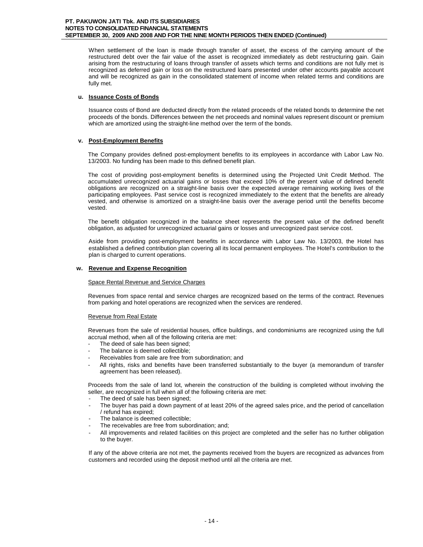When settlement of the loan is made through transfer of asset, the excess of the carrying amount of the restructured debt over the fair value of the asset is recognized immediately as debt restructuring gain. Gain arising from the restructuring of loans through transfer of assets which terms and conditions are not fully met is recognized as deferred gain or loss on the restructured loans presented under other accounts payable account and will be recognized as gain in the consolidated statement of income when related terms and conditions are fully met.

# **u. Issuance Costs of Bonds**

Issuance costs of Bond are deducted directly from the related proceeds of the related bonds to determine the net proceeds of the bonds. Differences between the net proceeds and nominal values represent discount or premium which are amortized using the straight-line method over the term of the bonds.

# **v. Post-Employment Benefits**

The Company provides defined post-employment benefits to its employees in accordance with Labor Law No. 13/2003. No funding has been made to this defined benefit plan.

The cost of providing post-employment benefits is determined using the Projected Unit Credit Method. The accumulated unrecognized actuarial gains or losses that exceed 10% of the present value of defined benefit obligations are recognized on a straight-line basis over the expected average remaining working lives of the participating employees. Past service cost is recognized immediately to the extent that the benefits are already vested, and otherwise is amortized on a straight-line basis over the average period until the benefits become vested.

The benefit obligation recognized in the balance sheet represents the present value of the defined benefit obligation, as adjusted for unrecognized actuarial gains or losses and unrecognized past service cost.

Aside from providing post-employment benefits in accordance with Labor Law No. 13/2003, the Hotel has established a defined contribution plan covering all its local permanent employees. The Hotel's contribution to the plan is charged to current operations.

# **w. Revenue and Expense Recognition**

Space Rental Revenue and Service Charges

Revenues from space rental and service charges are recognized based on the terms of the contract. Revenues from parking and hotel operations are recognized when the services are rendered.

# Revenue from Real Estate

Revenues from the sale of residential houses, office buildings, and condominiums are recognized using the full accrual method, when all of the following criteria are met:

- The deed of sale has been signed;
- The balance is deemed collectible;
- Receivables from sale are free from subordination; and
- All rights, risks and benefits have been transferred substantially to the buyer (a memorandum of transfer agreement has been released).

Proceeds from the sale of land lot, wherein the construction of the building is completed without involving the seller, are recognized in full when all of the following criteria are met:

- The deed of sale has been signed;
- The buyer has paid a down payment of at least 20% of the agreed sales price, and the period of cancellation / refund has expired;
- The balance is deemed collectible;
- The receivables are free from subordination; and;
- All improvements and related facilities on this project are completed and the seller has no further obligation to the buyer.

If any of the above criteria are not met, the payments received from the buyers are recognized as advances from customers and recorded using the deposit method until all the criteria are met.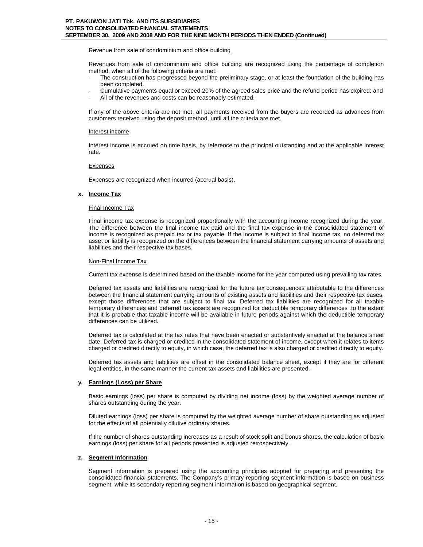## Revenue from sale of condominium and office building

Revenues from sale of condominium and office building are recognized using the percentage of completion method, when all of the following criteria are met:

- The construction has progressed beyond the preliminary stage, or at least the foundation of the building has been completed.
- Cumulative payments equal or exceed 20% of the agreed sales price and the refund period has expired; and
- All of the revenues and costs can be reasonably estimated.

If any of the above criteria are not met, all payments received from the buyers are recorded as advances from customers received using the deposit method, until all the criteria are met.

## Interest income

Interest income is accrued on time basis, by reference to the principal outstanding and at the applicable interest rate.

## Expenses

Expenses are recognized when incurred (accrual basis).

## **x. Income Tax**

## Final Income Tax

Final income tax expense is recognized proportionally with the accounting income recognized during the year. The difference between the final income tax paid and the final tax expense in the consolidated statement of income is recognized as prepaid tax or tax payable. If the income is subject to final income tax, no deferred tax asset or liability is recognized on the differences between the financial statement carrying amounts of assets and liabilities and their respective tax bases.

## Non-Final Income Tax

Current tax expense is determined based on the taxable income for the year computed using prevailing tax rates.

Deferred tax assets and liabilities are recognized for the future tax consequences attributable to the differences between the financial statement carrying amounts of existing assets and liabilities and their respective tax bases, except those differences that are subject to final tax. Deferred tax liabilities are recognized for all taxable temporary differences and deferred tax assets are recognized for deductible temporary differences to the extent that it is probable that taxable income will be available in future periods against which the deductible temporary differences can be utilized.

Deferred tax is calculated at the tax rates that have been enacted or substantively enacted at the balance sheet date. Deferred tax is charged or credited in the consolidated statement of income, except when it relates to items charged or credited directly to equity, in which case, the deferred tax is also charged or credited directly to equity.

Deferred tax assets and liabilities are offset in the consolidated balance sheet, except if they are for different legal entities, in the same manner the current tax assets and liabilities are presented.

# **y. Earnings (Loss) per Share**

Basic earnings (loss) per share is computed by dividing net income (loss) by the weighted average number of shares outstanding during the year.

Diluted earnings (loss) per share is computed by the weighted average number of share outstanding as adjusted for the effects of all potentially dilutive ordinary shares.

If the number of shares outstanding increases as a result of stock split and bonus shares, the calculation of basic earnings (loss) per share for all periods presented is adjusted retrospectively.

## **z. Segment Information**

Segment information is prepared using the accounting principles adopted for preparing and presenting the consolidated financial statements. The Company's primary reporting segment information is based on business segment, while its secondary reporting segment information is based on geographical segment.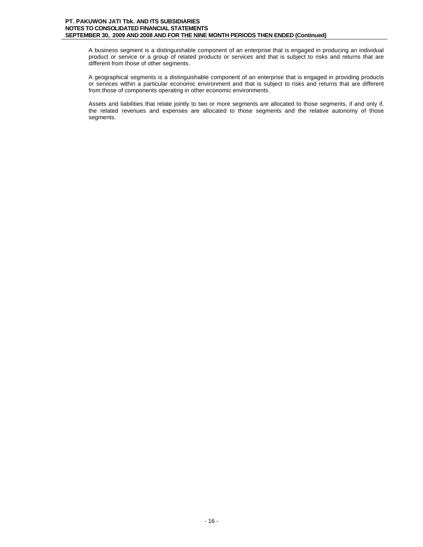A business segment is a distinguishable component of an enterprise that is engaged in producing an individual product or service or a group of related products or services and that is subject to risks and returns that are different from those of other segments.

A geographical segments is a distinguishable component of an enterprise that is engaged in providing products or services within a particular economic environment and that is subject to risks and returns that are different from those of components operating in other economic environments.

Assets and liabilities that relate jointly to two or more segments are allocated to those segments, if and only if, the related revenues and expenses are allocated to those segments and the relative autonomy of those segments.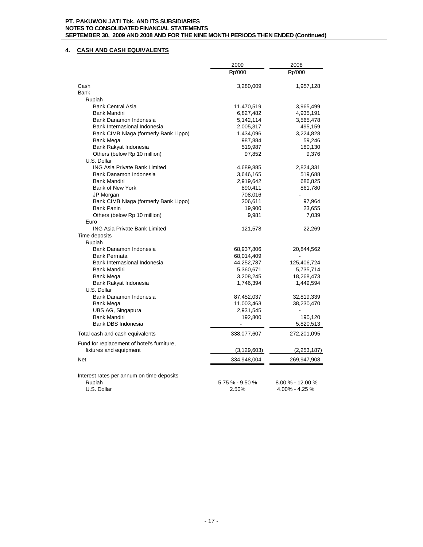# **4. CASH AND CASH EQUIVALENTS**

|                                                     | 2009            | 2008             |
|-----------------------------------------------------|-----------------|------------------|
|                                                     | Rp'000          | Rp'000           |
| Cash                                                | 3,280,009       | 1,957,128        |
| <b>Bank</b>                                         |                 |                  |
| Rupiah                                              |                 |                  |
| <b>Bank Central Asia</b>                            | 11,470,519      | 3,965,499        |
| <b>Bank Mandiri</b>                                 | 6,827,482       | 4,935,191        |
| Bank Danamon Indonesia                              | 5,142,114       | 3,565,478        |
| Bank Internasional Indonesia                        | 2,005,317       | 495,159          |
| Bank CIMB Niaga (formerly Bank Lippo)               | 1,434,096       | 3,224,828        |
| Bank Mega                                           | 987,884         | 59,246           |
| Bank Rakyat Indonesia                               | 519,987         | 180,130          |
| Others (below Rp 10 million)                        | 97,852          | 9,376            |
| U.S. Dollar                                         |                 |                  |
| <b>ING Asia Private Bank Limited</b>                | 4,689,885       | 2,824,331        |
| Bank Danamon Indonesia                              | 3,646,165       | 519,688          |
| <b>Bank Mandiri</b>                                 | 2,919,642       | 686,825          |
| Bank of New York                                    | 890,411         | 861,780          |
| JP Morgan                                           | 708,016         |                  |
| Bank CIMB Niaga (formerly Bank Lippo)               | 206,611         | 97,964           |
| <b>Bank Panin</b>                                   | 19,900          | 23,655           |
| Others (below Rp 10 million)                        | 9,981           | 7,039            |
| Euro                                                |                 |                  |
| <b>ING Asia Private Bank Limited</b>                | 121,578         | 22,269           |
| Time deposits                                       |                 |                  |
| Rupiah                                              |                 |                  |
| Bank Danamon Indonesia                              | 68,937,806      | 20,844,562       |
| <b>Bank Permata</b>                                 | 68,014,409      |                  |
| Bank Internasional Indonesia                        | 44,252,787      | 125,406,724      |
| <b>Bank Mandiri</b>                                 | 5,360,671       | 5,735,714        |
| Bank Mega                                           | 3,208,245       | 18,268,473       |
| Bank Rakyat Indonesia                               | 1,746,394       | 1,449,594        |
| U.S. Dollar                                         |                 |                  |
| Bank Danamon Indonesia                              | 87,452,037      | 32,819,339       |
| Bank Mega                                           | 11,003,463      | 38,230,470       |
| UBS AG, Singapura                                   | 2,931,545       |                  |
| <b>Bank Mandiri</b>                                 | 192,800         | 190,120          |
| Bank DBS Indonesia                                  |                 | 5,820,513        |
| Total cash and cash equivalents                     | 338,077,607     | 272,201,095      |
| Fund for replacement of hotel's furniture,          |                 |                  |
| fixtures and equipment                              | (3, 129, 603)   | (2,253,187)      |
| <b>Net</b>                                          | 334,948,004     | 269,947,908      |
| Interest rates per annum on time deposits<br>Rupiah | 5.75 % - 9.50 % | 8.00 % - 12.00 % |
| U.S. Dollar                                         | 2.50%           | 4.00% - 4.25 %   |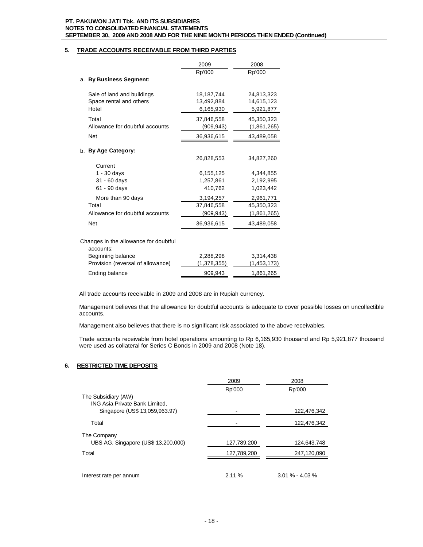# **5. TRADE ACCOUNTS RECEIVABLE FROM THIRD PARTIES**

|                                                       | 2009                     | 2008                      |
|-------------------------------------------------------|--------------------------|---------------------------|
|                                                       | Rp'000                   | Rp'000                    |
| a. By Business Segment:                               |                          |                           |
| Sale of land and buildings<br>Space rental and others | 18,187,744<br>13,492,884 | 24,813,323<br>14,615,123  |
| Hotel                                                 | 6,165,930                | 5,921,877                 |
| Total<br>Allowance for doubtful accounts              | 37,846,558<br>(909,943)  | 45,350,323<br>(1,861,265) |
| <b>Net</b>                                            | 36,936,615               | 43,489,058                |
| b. By Age Category:                                   |                          |                           |
|                                                       | 26,828,553               | 34,827,260                |
| Current                                               |                          |                           |
| $1 - 30$ days                                         | 6,155,125                | 4,344,855                 |
| 31 - 60 days<br>61 - 90 days                          | 1,257,861<br>410,762     | 2,192,995<br>1,023,442    |
| More than 90 days                                     | 3,194,257                | 2,961,771                 |
| Total                                                 | 37,846,558               | 45,350,323                |
| Allowance for doubtful accounts                       | (909,943)                | (1,861,265)               |
| <b>Net</b>                                            | 36,936,615               | 43,489,058                |
| Changes in the allowance for doubtful<br>accounts:    |                          |                           |
| Beginning balance                                     | 2,288,298                | 3,314,438                 |
| Provision (reversal of allowance)                     | (1,378,355)              | (1, 453, 173)             |

Ending balance 809,943 1,861,265

All trade accounts receivable in 2009 and 2008 are in Rupiah currency.

Management believes that the allowance for doubtful accounts is adequate to cover possible losses on uncollectible accounts.

Management also believes that there is no significant risk associated to the above receivables.

Trade accounts receivable from hotel operations amounting to Rp 6,165,930 thousand and Rp 5,921,877 thousand were used as collateral for Series C Bonds in 2009 and 2008 (Note 18).

# **6. RESTRICTED TIME DEPOSITS**

|                                                       | 2009        | 2008              |
|-------------------------------------------------------|-------------|-------------------|
|                                                       | Rp'000      | Rp'000            |
| The Subsidiary (AW)<br>ING Asia Private Bank Limited, |             |                   |
| Singapore (US\$ 13,059,963.97)                        |             | 122,476,342       |
| Total                                                 |             | 122,476,342       |
| The Company                                           |             |                   |
| UBS AG, Singapore (US\$ 13,200,000)                   | 127,789,200 | 124,643,748       |
| Total                                                 | 127,789,200 | 247,120,090       |
|                                                       |             |                   |
| Interest rate per annum                               | 2.11%       | $3.01\% - 4.03\%$ |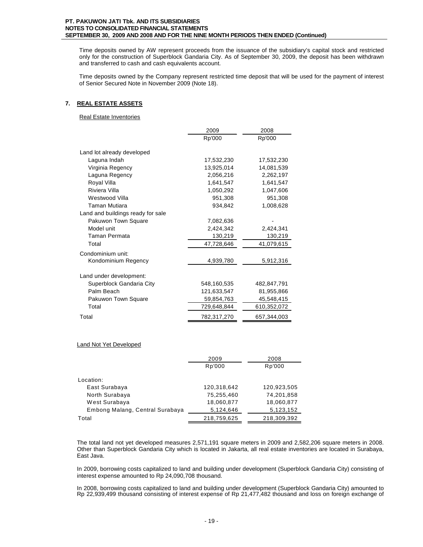Time deposits owned by AW represent proceeds from the issuance of the subsidiary's capital stock and restricted only for the construction of Superblock Gandaria City. As of September 30, 2009, the deposit has been withdrawn and transferred to cash and cash equivalents account.

Time deposits owned by the Company represent restricted time deposit that will be used for the payment of interest of Senior Secured Note in November 2009 (Note 18).

# **7. REAL ESTATE ASSETS**

Real Estate Inventories

|                                   | 2009        | 2008        |
|-----------------------------------|-------------|-------------|
|                                   | Rp'000      | Rp'000      |
| Land lot already developed        |             |             |
| Laguna Indah                      | 17,532,230  | 17,532,230  |
| Virginia Regency                  | 13,925,014  | 14,081,539  |
| Laguna Regency                    | 2,056,216   | 2,262,197   |
| Royal Villa                       | 1,641,547   | 1,641,547   |
| Riviera Villa                     | 1,050,292   | 1,047,606   |
| Westwood Villa                    | 951,308     | 951,308     |
| Taman Mutiara                     | 934,842     | 1,008,628   |
| Land and buildings ready for sale |             |             |
| Pakuwon Town Square               | 7,082,636   |             |
| Model unit                        | 2,424,342   | 2,424,341   |
| Taman Permata                     | 130,219     | 130,219     |
| Total                             | 47,728,646  | 41,079,615  |
| Condominium unit:                 |             |             |
| Kondominium Regency               | 4,939,780   | 5,912,316   |
| Land under development:           |             |             |
| Superblock Gandaria City          | 548,160,535 | 482,847,791 |
| Palm Beach                        | 121,633,547 | 81,955,866  |
| Pakuwon Town Square               | 59,854,763  | 45,548,415  |
| Total                             | 729,648,844 | 610,352,072 |
| Total                             | 782,317,270 | 657,344,003 |

# Land Not Yet Developed

| 2009        | 2008        |
|-------------|-------------|
| Rp'000      | Rp'000      |
|             |             |
| 120,318,642 | 120,923,505 |
| 75,255,460  | 74,201,858  |
| 18,060,877  | 18,060,877  |
| 5,124,646   | 5,123,152   |
| 218,759,625 | 218,309,392 |
|             |             |

The total land not yet developed measures 2,571,191 square meters in 2009 and 2,582,206 square meters in 2008. Other than Superblock Gandaria City which is located in Jakarta, all real estate inventories are located in Surabaya, East Java.

In 2009, borrowing costs capitalized to land and building under development (Superblock Gandaria City) consisting of interest expense amounted to Rp 24,090,708 thousand.

In 2008, borrowing costs capitalized to land and building under development (Superblock Gandaria City) amounted to Rp 22,939,499 thousand consisting of interest expense of Rp 21,477,482 thousand and loss on foreign exchange of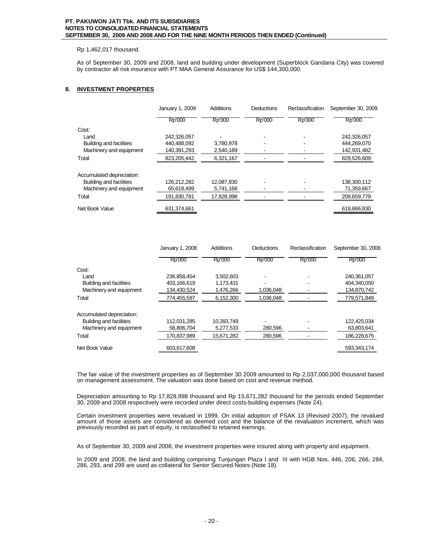# Rp 1,462,017 thousand.

As of September 30, 2009 and 2008, land and building under development (Superblock Gandaria City) was covered by contractor all risk insurance with PT MAA General Assurance for US\$ 144,300,000.

# **8. INVESTMENT PROPERTIES**

|                                | January 1, 2009 | Additions  | Deductions | Reclassification | September 30, 2009 |
|--------------------------------|-----------------|------------|------------|------------------|--------------------|
|                                | Rp'000          | Rp'000     | Rp'000     | Rp'000           | Rp'000             |
| Cost:                          |                 |            |            |                  |                    |
| Land                           | 242,326,057     |            |            |                  | 242,326,057        |
| <b>Building and facilities</b> | 440.488.092     | 3,780,978  |            |                  | 444,269,070        |
| Machinery and equipment        | 140,391,293     | 2,540,189  |            |                  | 142,931,482        |
| Total                          | 823.205.442     | 6.321.167  |            |                  | 829,526,609        |
| Accumulated depreciation:      |                 |            |            |                  |                    |
| <b>Building and facilities</b> | 126,212,282     | 12,087,830 |            |                  | 138,300,112        |
| Machinery and equipment        | 65,618,499      | 5,741,168  |            |                  | 71,359,667         |
| Total                          | 191.830.781     | 17,828,998 |            |                  | 209.659.779        |
| Net Book Value                 | 631,374,661     |            |            |                  | 619,866,830        |

|                                | January 1, 2008 | <b>Additions</b> | Deductions | Reclassification | September 30, 2008 |
|--------------------------------|-----------------|------------------|------------|------------------|--------------------|
|                                | Rp'000          | Rp'000           | Rp'000     | Rp'000           | Rp'000             |
| Cost:                          |                 |                  |            |                  |                    |
| Land                           | 236.858.454     | 3.502.603        |            |                  | 240.361.057        |
| <b>Building and facilities</b> | 403,166,619     | 1,173,431        |            |                  | 404,340,050        |
| Machinery and equipment        | 134,430,524     | 1,476,266        | 1,036,048  |                  | 134,870,742        |
| Total                          | 774,455,597     | 6,152,300        | 1,036,048  |                  | 779,571,849        |
| Accumulated depreciation:      |                 |                  |            |                  |                    |
| <b>Building and facilities</b> | 112.031.285     | 10.393.749       |            |                  | 122.425.034        |
| Machinery and equipment        | 58,806,704      | 5,277,533        | 280,596    |                  | 63,803,641         |
| Total                          | 170.837.989     | 15,671,282       | 280,596    |                  | 186,228,675        |
| Net Book Value                 | 603.617.608     |                  |            |                  | 593.343.174        |

The fair value of the investment properties as of September 30 2009 amounted to Rp 2,037,000,000 thousand based on management assessment. The valuation was done based on cost and revenue method.

Depreciation amounting to Rp 17,828,998 thousand and Rp 15,671,282 thousand for the periods ended September 30, 2009 and 2008 respectively were recorded under direct costs-building expenses (Note 24).

Certain investment properties were revalued in 1999. On initial adoption of PSAK 13 (Revised 2007), the revalued amount of those assets are considered as deemed cost and the balance of the revaluation increment, which was previously recorded as part of equity, is reclassified to retained earnings.

As of September 30, 2009 and 2008, the investment properties were insured along with property and equipment.

In 2009 and 2008, the land and building comprising Tunjungan Plaza I and III with HGB Nos. 446, 206, 266, 284, 286, 293, and 299 are used as collateral for Senior Secured Notes (Note 18).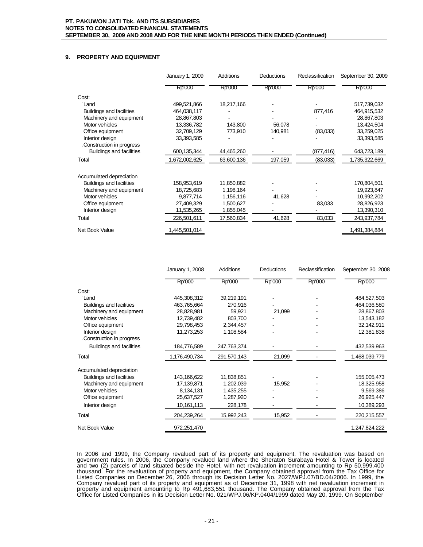# **9. PROPERTY AND EQUIPMENT**

|                                 | January 1, 2009 | Additions  | Deductions | Reclassification | September 30, 2009 |
|---------------------------------|-----------------|------------|------------|------------------|--------------------|
|                                 | Rp'000          | Rp'000     | Rp'000     | Rp'000           | Rp'000             |
| Cost:                           |                 |            |            |                  |                    |
| Land                            | 499,521,866     | 18,217,166 |            |                  | 517,739,032        |
| <b>Buildings and facilities</b> | 464,038,117     |            |            | 877,416          | 464,915,532        |
| Machinery and equipment         | 28,867,803      |            |            |                  | 28,867,803         |
| Motor vehicles                  | 13,336,782      | 143,800    | 56,078     |                  | 13,424,504         |
| Office equipment                | 32,709,129      | 773,910    | 140,981    | (83,033)         | 33,259,025         |
| Interior design                 | 33,393,585      |            |            |                  | 33,393,585         |
| Construction in progress        |                 |            |            |                  |                    |
| <b>Buildings and facilities</b> | 600,135,344     | 44,465,260 |            | (877,416)        | 643,723,189        |
| Total                           | 1,672,002,625   | 63,600,136 | 197,059    | (83,033)         | 1,735,322,669      |
| Accumulated depreciation        |                 |            |            |                  |                    |
| <b>Buildings and facilities</b> | 158,953,619     | 11,850,882 |            |                  | 170,804,501        |
| Machinery and equipment         | 18,725,683      | 1,198,164  |            |                  | 19,923,847         |
| Motor vehicles                  | 9,877,714       | 1,156,116  | 41,628     |                  | 10,992,202         |
| Office equipment                | 27,409,329      | 1,500,627  |            | 83,033           | 28,826,923         |
| Interior design                 | 11,535,265      | 1,855,045  |            |                  | 13,390,310         |
| Total                           | 226,501,611     | 17,560,834 | 41,628     | 83,033           | 243,937,784        |
| Net Book Value                  | 1,445,501,014   |            |            |                  | 1,491,384,884      |

|                                 | January 1, 2008 | <b>Additions</b> | Deductions | Reclassification | September 30, 2008 |
|---------------------------------|-----------------|------------------|------------|------------------|--------------------|
|                                 | Rp'000          | Rp'000           | Rp'000     | Rp'000           | Rp'000             |
| Cost:                           |                 |                  |            |                  |                    |
| Land                            | 445,308,312     | 39,219,191       |            |                  | 484,527,503        |
| <b>Buildings and facilities</b> | 463,765,664     | 270,916          |            |                  | 464,036,580        |
| Machinery and equipment         | 28,828,981      | 59,921           | 21,099     |                  | 28,867,803         |
| Motor vehicles                  | 12,739,482      | 803,700          |            |                  | 13,543,182         |
| Office equipment                | 29,798,453      | 2,344,457        |            |                  | 32,142,911         |
| Interior design                 | 11,273,253      | 1,108,584        |            |                  | 12,381,838         |
| Construction in progress        |                 |                  |            |                  |                    |
| <b>Buildings and facilities</b> | 184,776,589     | 247,763,374      |            |                  | 432,539,963        |
| Total                           | 1,176,490,734   | 291,570,143      | 21,099     |                  | 1,468,039,779      |
| Accumulated depreciation        |                 |                  |            |                  |                    |
| <b>Buildings and facilities</b> | 143, 166, 622   | 11,838,851       |            |                  | 155,005,473        |
| Machinery and equipment         | 17,139,871      | 1,202,039        | 15,952     |                  | 18,325,958         |
| Motor vehicles                  | 8,134,131       | 1,435,255        |            |                  | 9,569,386          |
| Office equipment                | 25,637,527      | 1,287,920        |            |                  | 26,925,447         |
| Interior design                 | 10,161,113      | 228,178          |            |                  | 10,389,293         |
| Total                           | 204,239,264     | 15,992,243       | 15,952     |                  | 220,215,557        |
| Net Book Value                  | 972,251,470     |                  |            |                  | 1,247,824,222      |

In 2006 and 1999, the Company revalued part of its property and equipment. The revaluation was based on government rules. In 2006, the Company revalued land where the Sheraton Surabaya Hotel & Tower is located and two (2) parcels of land situated beside the Hotel, with net revaluation increment amounting to Rp 50,999,400 thousand. For the revaluation of property and equipment, the Company obtained approval from the Tax Office for Listed Companies on December 26, 2006 through its Decision Letter No. 2027/WPJ.07/BD.04/2006. In 1999, the Company revalued part of its property and equipment as of December 31, 1998 with net revaluation increment in property and equipment amounting to Rp 491,683,551 thousand. The Company obtained approval from the Tax Office for Listed Companies in its Decision Letter No. 021/WPJ.06/KP.0404/1999 dated May 20, 1999. On September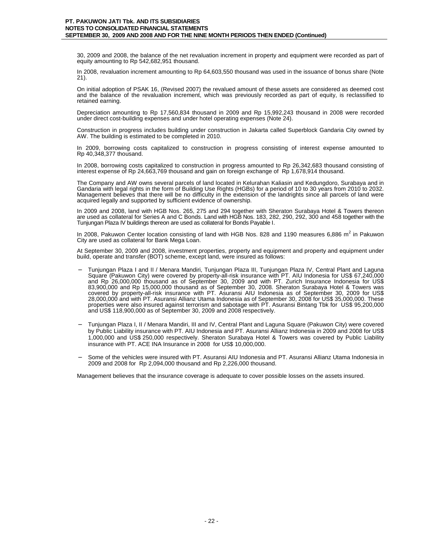30, 2009 and 2008, the balance of the net revaluation increment in property and equipment were recorded as part of equity amounting to Rp 542,682,951 thousand.

In 2008, revaluation increment amounting to Rp 64,603,550 thousand was used in the issuance of bonus share (Note 21).

On initial adoption of PSAK 16, (Revised 2007) the revalued amount of these assets are considered as deemed cost and the balance of the revaluation increment, which was previously recorded as part of equity, is reclassified to retained earning.

Depreciation amounting to Rp 17,560,834 thousand in 2009 and Rp 15,992,243 thousand in 2008 were recorded under direct cost-building expenses and under hotel operating expenses (Note 24).

Construction in progress includes building under construction in Jakarta called Superblock Gandaria City owned by AW. The building is estimated to be completed in 2010.

In 2009, borrowing costs capitalized to construction in progress consisting of interest expense amounted to Rp 40,348,377 thousand.

In 2008, borrowing costs capitalized to construction in progress amounted to Rp 26,342,683 thousand consisting of interest expense of Rp 24,663,769 thousand and gain on foreign exchange of Rp 1,678,914 thousand.

The Company and AW owns several parcels of land located in Kelurahan Kaliasin and Kedungdoro, Surabaya and in Gandaria with legal rights in the form of Building Use Rights (HGBs) for a period of 10 to 30 years from 2010 to 2032. Management believes that there will be no difficulty in the extension of the landrights since all parcels of land were acquired legally and supported by sufficient evidence of ownership.

In 2009 and 2008, land with HGB Nos. 265, 275 and 294 together with Sheraton Surabaya Hotel & Towers thereon are used as collateral for Series A and C Bonds. Land with HGB Nos. 183, 282, 290, 292, 300 and 458 together with the Tunjungan Plaza IV buildings thereon are used as collateral for Bonds Payable I.

In 2008, Pakuwon Center location consisting of land with HGB Nos. 828 and 1190 measures 6,886 m<sup>2</sup> in Pakuwon City are used as collateral for Bank Mega Loan.

At September 30, 2009 and 2008, investment properties, property and equipment and property and equipment under build, operate and transfer (BOT) scheme, except land, were insured as follows:

- − Tunjungan Plaza I and II / Menara Mandiri, Tunjungan Plaza III, Tunjungan Plaza IV, Central Plant and Laguna Square (Pakuwon City) were covered by property-all-risk insurance with PT. AIU Indonesia for US\$ 67,240,000 and Rp 26,000,000 thousand as of September 30, 2009 and with PT. Zurich Insurance Indonesia for US\$ 83,900,000 and Rp 15,000,000 thousand as of September 30, 2008. Sheraton Surabaya Hotel & Towers was covered by property-all-risk insurance with PT. Asuransi AIU Indonesia as of September 30, 2009 for US\$ 28,000,000 and with PT. Asuransi Allianz Utama Indonesia as of September 30, 2008 for US\$ 35,000,000. These properties were also insured against terrorism and sabotage with PT. Asuransi Bintang Tbk for US\$ 95,200,000 and US\$ 118,900,000 as of September 30, 2009 and 2008 respectively.
- − Tunjungan Plaza I, II / Menara Mandiri, III and IV, Central Plant and Laguna Square (Pakuwon City) were covered by Public Liability insurance with PT. AIU Indonesia and PT. Asuransi Allianz Indonesia in 2009 and 2008 for US\$ 1,000,000 and US\$ 250,000 respectively. Sheraton Surabaya Hotel & Towers was covered by Public Liability insurance with PT. ACE INA Insurance in 2008 for US\$ 10,000,000.
- Some of the vehicles were insured with PT. Asuransi AIU Indonesia and PT. Asuransi Allianz Utama Indonesia in 2009 and 2008 for Rp 2,094,000 thousand and Rp 2,226,000 thousand.

Management believes that the insurance coverage is adequate to cover possible losses on the assets insured.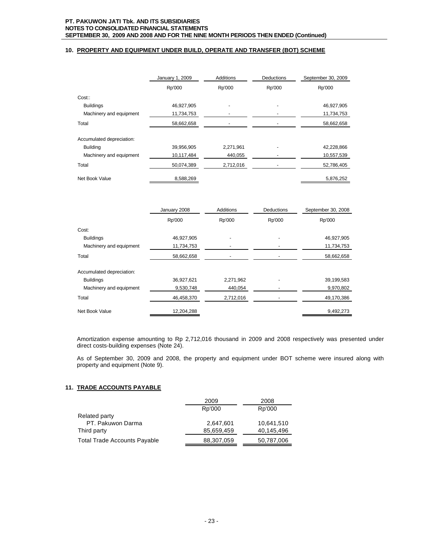# **10. PROPERTY AND EQUIPMENT UNDER BUILD, OPERATE AND TRANSFER (BOT) SCHEME**

|                           | January 1, 2009 | Additions | <b>Deductions</b> | September 30, 2009 |
|---------------------------|-----------------|-----------|-------------------|--------------------|
|                           | Rp'000          | Rp'000    | Rp'000            | Rp'000             |
| Cost::                    |                 |           |                   |                    |
| <b>Buildings</b>          | 46,927,905      |           |                   | 46,927,905         |
| Machinery and equipment   | 11,734,753      |           |                   | 11,734,753         |
| Total                     | 58,662,658      |           |                   | 58,662,658         |
| Accumulated depreciation: |                 |           |                   |                    |
| <b>Building</b>           | 39,956,905      | 2,271,961 |                   | 42,228,866         |
| Machinery and equipment   | 10,117,484      | 440,055   |                   | 10,557,539         |
| Total                     | 50,074,389      | 2,712,016 |                   | 52,786,405         |
| Net Book Value            | 8,588,269       |           |                   | 5,876,252          |

|                           | January 2008 | <b>Additions</b> | Deductions | September 30, 2008 |
|---------------------------|--------------|------------------|------------|--------------------|
|                           | Rp'000       | Rp'000           | Rp'000     | Rp'000             |
| Cost:                     |              |                  |            |                    |
| <b>Buildings</b>          | 46,927,905   |                  |            | 46,927,905         |
| Machinery and equipment   | 11,734,753   |                  |            | 11,734,753         |
| Total                     | 58,662,658   |                  |            | 58,662,658         |
| Accumulated depreciation: |              |                  |            |                    |
| <b>Buildings</b>          | 36,927,621   | 2,271,962        |            | 39,199,583         |
| Machinery and equipment   | 9,530,748    | 440,054          |            | 9,970,802          |
| Total                     | 46,458,370   | 2,712,016        |            | 49,170,386         |
| Net Book Value            | 12.204.288   |                  |            | 9.492.273          |

Amortization expense amounting to Rp 2,712,016 thousand in 2009 and 2008 respectively was presented under direct costs-building expenses (Note 24).

As of September 30, 2009 and 2008, the property and equipment under BOT scheme were insured along with property and equipment (Note 9).

# **11. TRADE ACCOUNTS PAYABLE**

|                                     | 2009       | 2008       |
|-------------------------------------|------------|------------|
|                                     | Rp'000     | Rp'000     |
| Related party                       |            |            |
| PT. Pakuwon Darma                   | 2,647,601  | 10,641,510 |
| Third party                         | 85,659,459 | 40,145,496 |
| <b>Total Trade Accounts Payable</b> | 88,307,059 | 50,787,006 |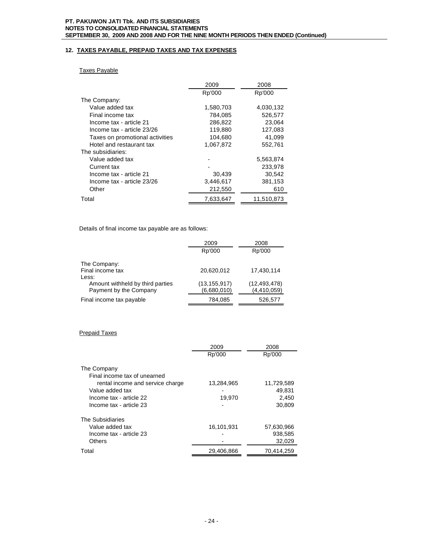# **12. TAXES PAYABLE, PREPAID TAXES AND TAX EXPENSES**

# Taxes Payable

|                                 | 2009      | 2008       |
|---------------------------------|-----------|------------|
|                                 | Rp'000    | Rp'000     |
| The Company:                    |           |            |
| Value added tax                 | 1,580,703 | 4,030,132  |
| Final income tax                | 784,085   | 526,577    |
| Income tax - article 21         | 286,822   | 23,064     |
| Income tax - article 23/26      | 119.880   | 127,083    |
| Taxes on promotional activities | 104,680   | 41,099     |
| Hotel and restaurant tax        | 1,067,872 | 552,761    |
| The subsidiaries:               |           |            |
| Value added tax                 |           | 5,563,874  |
| Current tax                     |           | 233,978    |
| Income tax - article 21         | 30,439    | 30,542     |
| Income tax - article 23/26      | 3,446,617 | 381,153    |
| Other                           | 212,550   | 610        |
| Total                           | 7,633,647 | 11,510,873 |

Details of final income tax payable are as follows:

|                                  | 2009           | 2008           |
|----------------------------------|----------------|----------------|
|                                  | Rp'000         | Rp'000         |
| The Company:                     |                |                |
| Final income tax                 | 20.620.012     | 17.430.114     |
| Less:                            |                |                |
| Amount withheld by third parties | (13, 155, 917) | (12, 493, 478) |
| Payment by the Company           | (6,680,010)    | (4,410,059)    |
| Final income tax payable         | 784,085        | 526,577        |

# Prepaid Taxes

|                                  | 2009       | 2008       |
|----------------------------------|------------|------------|
|                                  | Rp'000     | Rp'000     |
| The Company                      |            |            |
| Final income tax of unearned     |            |            |
| rental income and service charge | 13,284,965 | 11,729,589 |
| Value added tax                  |            | 49,831     |
| Income tax - article 22          | 19.970     | 2,450      |
| Income tax - article 23          |            | 30,809     |
| The Subsidiaries                 |            |            |
| Value added tax                  | 16.101.931 | 57,630,966 |
| Income tax - article 23          |            | 938,585    |
| Others                           |            | 32,029     |
| Total                            | 29.406.866 | 70.414.259 |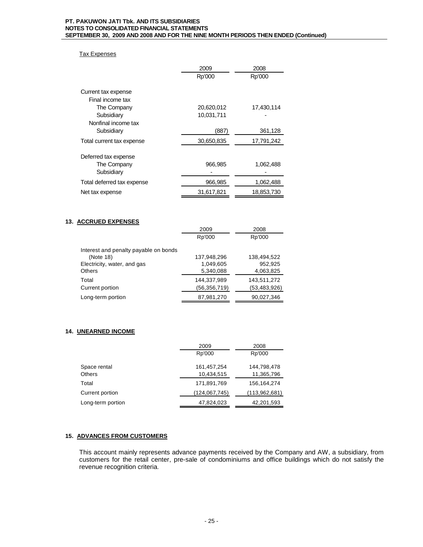# Tax Expenses

|                            | 2009       | 2008       |
|----------------------------|------------|------------|
|                            | Rp'000     | Rp'000     |
| Current tax expense        |            |            |
| Final income tax           |            |            |
| The Company                | 20,620,012 | 17,430,114 |
| Subsidiary                 | 10,031,711 |            |
| Nonfinal income tax        |            |            |
| Subsidiary                 | (887)      | 361,128    |
| Total current tax expense  | 30,650,835 | 17,791,242 |
| Deferred tax expense       |            |            |
| The Company                | 966,985    | 1.062,488  |
| Subsidiary                 |            |            |
| Total deferred tax expense | 966,985    | 1,062,488  |
| Net tax expense            | 31,617,821 | 18,853,730 |

# **13. ACCRUED EXPENSES**

|                                       | 2009         | 2008         |
|---------------------------------------|--------------|--------------|
|                                       | Rp'000       | Rp'000       |
| Interest and penalty payable on bonds |              |              |
| (Note 18)                             | 137,948,296  | 138,494,522  |
| Electricity, water, and gas           | 1,049,605    | 952,925      |
| Others                                | 5,340,088    | 4,063,825    |
| Total                                 | 144.337.989  | 143,511,272  |
| Current portion                       | (56,356,719) | (53,483,926) |
| Long-term portion                     | 87,981,270   | 90,027,346   |

# **14. UNEARNED INCOME**

|                   | 2009            | 2008          |
|-------------------|-----------------|---------------|
|                   | Rp'000          | Rp'000        |
| Space rental      | 161,457,254     | 144,798,478   |
| <b>Others</b>     | 10,434,515      | 11,365,796    |
| Total             | 171,891,769     | 156,164,274   |
| Current portion   | (124, 067, 745) | (113,962,681) |
| Long-term portion | 47,824,023      | 42,201,593    |

# **15. ADVANCES FROM CUSTOMERS**

This account mainly represents advance payments received by the Company and AW, a subsidiary, from customers for the retail center, pre-sale of condominiums and office buildings which do not satisfy the revenue recognition criteria.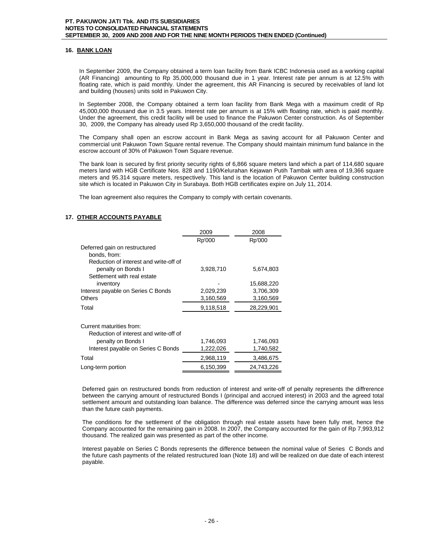# **16. BANK LOAN**

In September 2009, the Company obtained a term loan facility from Bank ICBC Indonesia used as a working capital (AR Financing) amounting to Rp 35,000,000 thousand due in 1 year. Interest rate per annum is at 12.5% with floating rate, which is paid monthly. Under the agreement, this AR Financing is secured by receivables of land lot and building (houses) units sold in Pakuwon City.

In September 2008, the Company obtained a term loan facility from Bank Mega with a maximum credit of Rp 45,000,000 thousand due in 3.5 years. Interest rate per annum is at 15% with floating rate, which is paid monthly. Under the agreement, this credit facility will be used to finance the Pakuwon Center construction. As of September 30, 2009, the Company has already used Rp 3,650,000 thousand of the credit facility.

The Company shall open an escrow account in Bank Mega as saving account for all Pakuwon Center and commercial unit Pakuwon Town Square rental revenue. The Company should maintain minimum fund balance in the escrow account of 30% of Pakuwon Town Square revenue.

The bank loan is secured by first priority security rights of 6,866 square meters land which a part of 114,680 square meters land with HGB Certificate Nos. 828 and 1190/Kelurahan Kejawan Putih Tambak with area of 19,366 square meters and 95.314 square meters, respectively. This land is the location of Pakuwon Center building construction site which is located in Pakuwon City in Surabaya. Both HGB certificates expire on July 11, 2014.

The loan agreement also requires the Company to comply with certain covenants.

# **17. OTHER ACCOUNTS PAYABLE**

|                                        | 2009      | 2008       |
|----------------------------------------|-----------|------------|
|                                        | Rp'000    | Rp'000     |
| Deferred gain on restructured          |           |            |
| bonds, from:                           |           |            |
| Reduction of interest and write-off of |           |            |
| penalty on Bonds I                     | 3,928,710 | 5,674,803  |
| Settlement with real estate            |           |            |
| inventory                              |           | 15,688,220 |
| Interest payable on Series C Bonds     | 2,029,239 | 3,706,309  |
| <b>Others</b>                          | 3,160,569 | 3,160,569  |
| Total                                  | 9,118,518 | 28,229,901 |
|                                        |           |            |
| Current maturities from:               |           |            |
| Reduction of interest and write-off of |           |            |
| penalty on Bonds I                     | 1,746,093 | 1,746,093  |
| Interest payable on Series C Bonds     | 1,222,026 | 1,740,582  |
| Total                                  | 2,968,119 | 3,486,675  |
| Long-term portion                      | 6,150,399 | 24.743.226 |

Deferred gain on restructured bonds from reduction of interest and write-off of penalty represents the diffrerence between the carrying amount of restructured Bonds I (principal and accrued interest) in 2003 and the agreed total settlement amount and outstanding loan balance. The difference was deferred since the carrying amount was less than the future cash payments.

The conditions for the settlement of the obligation through real estate assets have been fully met, hence the Company accounted for the remaining gain in 2008. In 2007, the Company accounted for the gain of Rp 7,993,912 thousand. The realized gain was presented as part of the other income.

Interest payable on Series C Bonds represents the difference between the nominal value of Series C Bonds and the future cash payments of the related restructured loan (Note 18) and will be realized on due date of each interest payable.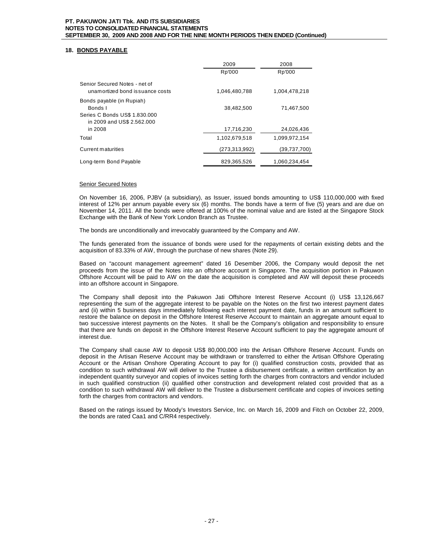# **18. BONDS PAYABLE**

|                                                                                                     | 2009            | 2008          |
|-----------------------------------------------------------------------------------------------------|-----------------|---------------|
|                                                                                                     | Rp'000          | Rp'000        |
| Senior Secured Notes - net of<br>unamortized bond is suance costs                                   | 1.046.480.788   | 1.004.478.218 |
| Bonds payable (in Rupiah)<br>Bonds I<br>Series C Bonds US\$ 1.830.000<br>in 2009 and US\$ 2.562,000 | 38.482.500      | 71.467.500    |
| in 2008                                                                                             | 17,716,230      | 24,026,436    |
| Total                                                                                               | 1.102.679.518   | 1.099.972.154 |
| Current maturities                                                                                  | (273, 313, 992) | (39,737,700)  |
| Long-term Bond Payable                                                                              | 829,365,526     | 1,060,234,454 |

# Senior Secured Notes

On November 16, 2006, PJBV (a subsidiary), as Issuer, issued bonds amounting to US\$ 110,000,000 with fixed interest of 12% per annum payable every six (6) months. The bonds have a term of five (5) years and are due on November 14, 2011. All the bonds were offered at 100% of the nominal value and are listed at the Singapore Stock Exchange with the Bank of New York London Branch as Trustee.

The bonds are unconditionally and irrevocably guaranteed by the Company and AW.

The funds generated from the issuance of bonds were used for the repayments of certain existing debts and the acquisition of 83.33% of AW, through the purchase of new shares (Note 29).

Based on "account management agreement" dated 16 Desember 2006, the Company would deposit the net proceeds from the issue of the Notes into an offshore account in Singapore. The acquisition portion in Pakuwon Offshore Account will be paid to AW on the date the acquisition is completed and AW will deposit these proceeds into an offshore account in Singapore.

The Company shall deposit into the Pakuwon Jati Offshore Interest Reserve Account (i) US\$ 13,126,667 representing the sum of the aggregate interest to be payable on the Notes on the first two interest payment dates and (ii) within 5 business days immediately following each interest payment date, funds in an amount sufficient to restore the balance on deposit in the Offshore Interest Reserve Account to maintain an aggregate amount equal to two successive interest payments on the Notes. It shall be the Company's obligation and responsibility to ensure that there are funds on deposit in the Offshore Interest Reserve Account sufficient to pay the aggregate amount of interest due.

The Company shall cause AW to deposit US\$ 80,000,000 into the Artisan Offshore Reserve Account. Funds on deposit in the Artisan Reserve Account may be withdrawn or transferred to either the Artisan Offshore Operating Account or the Artisan Onshore Operating Account to pay for (i) qualified construction costs, provided that as condition to such withdrawal AW will deliver to the Trustee a disbursement certificate, a written certification by an independent quantity surveyor and copies of invoices setting forth the charges from contractors and vendor included in such qualified construction (ii) qualified other construction and development related cost provided that as a condition to such withdrawal AW will deliver to the Trustee a disbursement certificate and copies of invoices setting forth the charges from contractors and vendors.

Based on the ratings issued by Moody's Investors Service, Inc. on March 16, 2009 and Fitch on October 22, 2009, the bonds are rated Caa1 and C/RR4 respectively.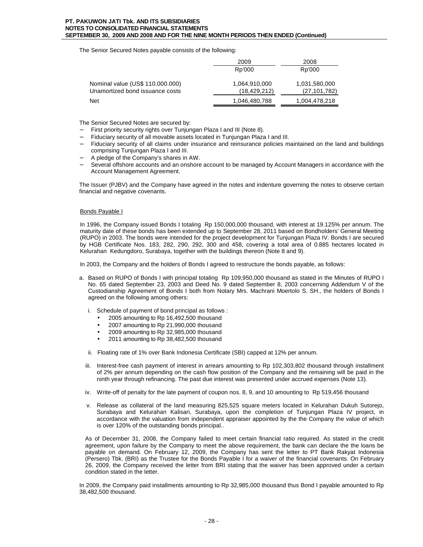The Senior Secured Notes payable consists of the following:

|                                  | 2009           | 2008           |
|----------------------------------|----------------|----------------|
|                                  | Rp'000         | Rp'000         |
| Nominal value (US\$ 110.000.000) | 1,064,910,000  | 1,031,580,000  |
| Unamortized bond issuance costs  | (18, 429, 212) | (27, 101, 782) |
| <b>Net</b>                       | 1,046,480,788  | 1,004,478,218  |

The Senior Secured Notes are secured by:

- First priority security rights over Tunjungan Plaza I and III (Note 8).
- − Fiduciary security of all movable assets located in Tunjungan Plaza I and III.
- Fiduciary security of all claims under insurance and reinsurance policies maintained on the land and buildings comprising Tunjungan Plaza I and III.
- − A pledge of the Company's shares in AW.
- Several offshore accounts and an onshore account to be managed by Account Managers in accordance with the Account Management Agreement.

The Issuer (PJBV) and the Company have agreed in the notes and indenture governing the notes to observe certain financial and negative covenants.

# Bonds Payable I

In 1996, the Company issued Bonds I totaling Rp 150,000,000 thousand, with interest at 19.125% per annum. The maturity date of these bonds has been extended up to September 28, 2011 based on Bondholders' General Meeting (RUPO) in 2003. The bonds were intended for the project development for Tunjungan Plaza IV. Bonds I are secured by HGB Certificate Nos. 183, 282, 290, 292, 300 and 458, covering a total area of 0.885 hectares located in Kelurahan Kedungdoro, Surabaya, together with the buildings thereon (Note 8 and 9).

In 2003, the Company and the holders of Bonds I agreed to restructure the bonds payable, as follows:

- a. Based on RUPO of Bonds I with principal totaling Rp 109,950,000 thousand as stated in the Minutes of RUPO I No. 65 dated September 23, 2003 and Deed No. 9 dated September 8, 2003 concerning Addendum V of the Custodianship Agreement of Bonds I both from Notary Mrs. Machrani Moertolo S. SH., the holders of Bonds I agreed on the following among others:
	- i. Schedule of payment of bond principal as follows :
		- 2005 amounting to Rp 16,492,500 thousand
		- 2007 amounting to Rp 21,990,000 thousand
		- 2009 amounting to Rp 32,985,000 thousand
		- 2011 amounting to Rp 38,482,500 thousand
	- ii. Floating rate of 1% over Bank Indonesia Certificate (SBI) capped at 12% per annum.
	- iii. Interest-free cash payment of interest in arrears amounting to Rp 102,303,802 thousand through installment of 2% per annum depending on the cash flow position of the Company and the remaining will be paid in the ninth year through refinancing. The past due interest was presented under accrued expenses (Note 13).
	- iv. Write-off of penalty for the late payment of coupon nos. 8, 9, and 10 amounting to Rp 519,456 thousand
	- v. Release as collateral of the land measuring 825,525 square meters located in Kelurahan Dukuh Sutorejo, Surabaya and Kelurahan Kalisari, Surabaya, upon the completion of Tunjungan Plaza IV project, in accordance with the valuation from independent appraiser appointed by the the Company the value of which is over 120% of the outstanding bonds principal..

As of December 31, 2008, the Company failed to meet certain financial ratio required. As stated in the credit agreement, upon failure by the Company to meet the above requirement, the bank can declare the the loans be payable on demand. On February 12, 2009, the Company has sent the letter to PT Bank Rakyat Indonesia (Persero) Tbk. (BRI) as the Trustee for the Bonds Payable I for a waiver of the financial covenants. On February 26, 2009, the Company received the letter from BRI stating that the waiver has been approved under a certain condition stated in the letter.

In 2009, the Company paid installments amounting to Rp 32,985,000 thousand thus Bond I payable amounted to Rp 38,482,500 thousand.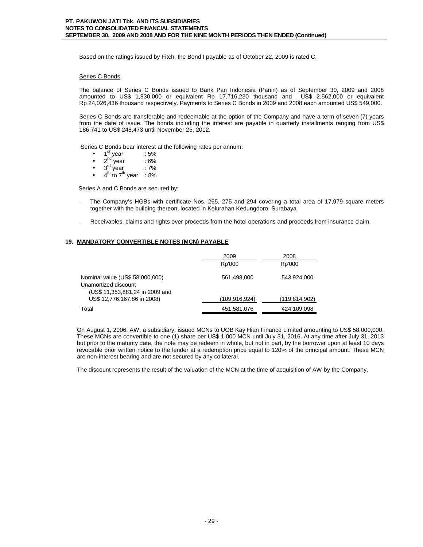Based on the ratings issued by Fitch, the Bond I payable as of October 22, 2009 is rated C.

## Series C Bonds

The balance of Series C Bonds issued to Bank Pan Indonesia (Panin) as of September 30, 2009 and 2008 amounted to US\$ 1,830,000 or equivalent Rp 17,716,230 thousand and US\$ 2,562,000 or equivalent Rp 24,026,436 thousand respectively. Payments to Series C Bonds in 2009 and 2008 each amounted US\$ 549,000.

Series C Bonds are transferable and redeemable at the option of the Company and have a term of seven (7) years from the date of issue. The bonds including the interest are payable in quarterly installments ranging from US\$ 186,741 to US\$ 248,473 until November 25, 2012.

Series C Bonds bear interest at the following rates per annum:

- $1^{\text{st}}$  year : 5%
- $2<sup>nd</sup>$  year : 6%
- $2<sup>nd</sup>$  year : 6%<br>•  $3<sup>rd</sup>$  year : 7%
- $4<sup>th</sup>$  to 7<sup>th</sup> year : 8%

Series A and C Bonds are secured by:

- The Company's HGBs with certificate Nos. 265, 275 and 294 covering a total area of 17,979 square meters together with the building thereon, located in Kelurahan Kedungdoro, Surabaya
- Receivables, claims and rights over proceeds from the hotel operations and proceeds from insurance claim.

# **19. MANDATORY CONVERTIBLE NOTES (MCN) PAYABLE**

|                                                                                            | 2009            | 2008            |
|--------------------------------------------------------------------------------------------|-----------------|-----------------|
|                                                                                            | Rp'000          | Rp'000          |
| Nominal value (US\$ 58,000,000)<br>Unamortized discount<br>(US\$ 11,353,881.24 in 2009 and | 561,498,000     | 543.924.000     |
| US\$ 12,776,167.86 in 2008)                                                                | (109, 916, 924) | (119, 814, 902) |
| Total                                                                                      | 451,581,076     | 424,109,098     |

On August 1, 2006, AW, a subsidiary, issued MCNs to UOB Kay Hian Finance Limited amounting to US\$ 58,000,000. These MCNs are convertible to one (1) share per US\$ 1,000 MCN until July 31, 2016. At any time after July 31, 2013 but prior to the maturity date, the note may be redeem in whole, but not in part, by the borrower upon at least 10 days revocable prior written notice to the lender at a redemption price equal to 120% of the principal amount. These MCN are non-interest bearing and are not secured by any collateral.

The discount represents the result of the valuation of the MCN at the time of acquisition of AW by the Company.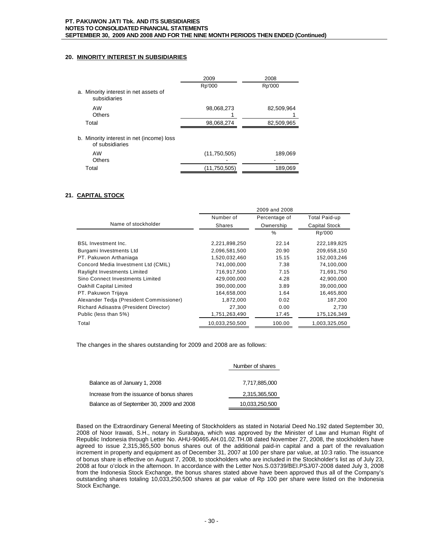# **20. MINORITY INTEREST IN SUBSIDIARIES**

|                                                              | 2009         | 2008       |
|--------------------------------------------------------------|--------------|------------|
|                                                              | Rp'000       | Rp'000     |
| a. Minority interest in net assets of<br>subsidiaries        |              |            |
| AW                                                           | 98,068,273   | 82,509,964 |
| <b>Others</b>                                                |              |            |
| Total                                                        | 98,068,274   | 82,509,965 |
| b. Minority interest in net (income) loss<br>of subsidiaries |              |            |
| AW<br><b>Others</b>                                          | (11,750,505) | 189,069    |
| Total                                                        | (11,750,505) | 189,069    |

# **21. CAPITAL STOCK**

|                                          | 2009 and 2008  |               |                      |
|------------------------------------------|----------------|---------------|----------------------|
|                                          | Number of      | Percentage of | Total Paid-up        |
| Name of stockholder                      | Shares         | Ownership     | <b>Capital Stock</b> |
|                                          |                | $\frac{0}{0}$ | Rp'000               |
| <b>BSL Investment Inc.</b>               | 2,221,898,250  | 22.14         | 222,189,825          |
| Burgami Investments Ltd                  | 2,096,581,500  | 20.90         | 209,658,150          |
| PT. Pakuwon Arthaniaga                   | 1,520,032,460  | 15.15         | 152,003,246          |
| Concord Media Investment Ltd (CMIL)      | 741,000,000    | 7.38          | 74,100,000           |
| Raylight Investments Limited             | 716.917.500    | 7.15          | 71,691,750           |
| Sino Connect Investments Limited         | 429,000,000    | 4.28          | 42,900,000           |
| <b>Oakhill Capital Limited</b>           | 390,000,000    | 3.89          | 39,000,000           |
| PT. Pakuwon Trijaya                      | 164.658.000    | 1.64          | 16.465.800           |
| Alexander Tedja (President Commissioner) | 1,872,000      | 0.02          | 187.200              |
| Richard Adisastra (President Director)   | 27,300         | 0.00          | 2,730                |
| Public (less than 5%)                    | 1,751,263,490  | 17.45         | 175,126,349          |
| Total                                    | 10,033,250,500 | 100.00        | 1,003,325,050        |

The changes in the shares outstanding for 2009 and 2008 are as follows:

|                                            | Number of shares |
|--------------------------------------------|------------------|
|                                            |                  |
| Balance as of January 1, 2008              | 7,717,885,000    |
| Increase from the issuance of bonus shares | 2,315,365,500    |
| Balance as of September 30, 2009 and 2008  | 10,033,250,500   |

Based on the Extraordinary General Meeting of Stockholders as stated in Notarial Deed No.192 dated September 30, 2008 of Noor Irawati, S.H., notary in Surabaya, which was approved by the Minister of Law and Human Right of Republic Indonesia through Letter No. AHU-90465.AH.01.02.TH.08 dated November 27, 2008, the stockholders have agreed to issue 2,315,365,500 bonus shares out of the additional paid-in capital and a part of the revaluation increment in property and equipment as of December 31, 2007 at 100 per share par value, at 10:3 ratio. The issuance of bonus share is effective on August 7, 2008, to stockholders who are included in the Stockholder's list as of July 23, 2008 at four o'clock in the afternoon. In accordance with the Letter Nos.S.03739/BEI.PSJ/07-2008 dated July 3, 2008 from the Indonesia Stock Exchange, the bonus shares stated above have been approved thus all of the Company's outstanding shares totaling 10,033,250,500 shares at par value of Rp 100 per share were listed on the Indonesia Stock Exchange.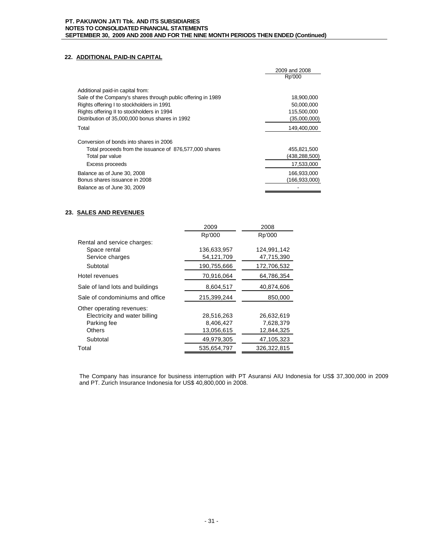# **22. ADDITIONAL PAID-IN CAPITAL**

|                                                              | 2009 and 2008 |
|--------------------------------------------------------------|---------------|
|                                                              | Rp'000        |
| Additional paid-in capital from:                             |               |
| Sale of the Company's shares through public offering in 1989 | 18,900,000    |
| Rights offering I to stockholders in 1991                    | 50,000,000    |
| Rights offering II to stockholders in 1994                   | 115,500,000   |
| Distribution of 35,000,000 bonus shares in 1992              | (35,000,000)  |
| Total                                                        | 149,400,000   |
| Conversion of bonds into shares in 2006                      |               |
| Total proceeds from the issuance of 876,577,000 shares       | 455,821,500   |
| Total par value                                              | (438,288,500) |
| Excess proceeds                                              | 17,533,000    |
| Balance as of June 30, 2008                                  | 166,933,000   |
| Bonus shares issuance in 2008                                | (166,933,000) |
| Balance as of June 30, 2009                                  |               |

# **23. SALES AND REVENUES**

| 2009        | 2008        |
|-------------|-------------|
| Rp'000      | Rp'000      |
|             |             |
| 136,633,957 | 124,991,142 |
| 54,121,709  | 47,715,390  |
| 190,755,666 | 172,706,532 |
| 70,916,064  | 64,786,354  |
| 8,604,517   | 40,874,606  |
| 215,399,244 | 850,000     |
|             |             |
| 28,516,263  | 26,632,619  |
| 8,406,427   | 7,628,379   |
| 13,056,615  | 12.844.325  |
| 49,979,305  | 47,105,323  |
| 535.654.797 | 326,322,815 |
|             |             |

The Company has insurance for business interruption with PT Asuransi AIU Indonesia for US\$ 37,300,000 in 2009 and PT. Zurich Insurance Indonesia for US\$ 40,800,000 in 2008.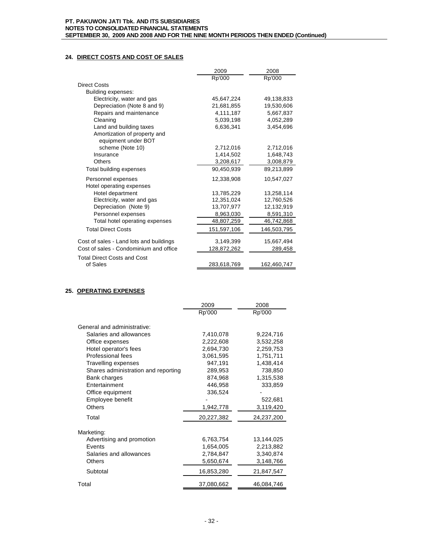# **24. DIRECT COSTS AND COST OF SALES**

|                                         | 2009        | 2008        |
|-----------------------------------------|-------------|-------------|
|                                         | Rp'000      | Rp'000      |
| <b>Direct Costs</b>                     |             |             |
| Building expenses:                      |             |             |
| Electricity, water and gas              | 45,647,224  | 49,138,833  |
| Depreciation (Note 8 and 9)             | 21,681,855  | 19.530.606  |
| Repairs and maintenance                 | 4,111,187   | 5,667,837   |
| Cleaning                                | 5,039,198   | 4.052,289   |
| Land and building taxes                 | 6,636,341   | 3,454,696   |
| Amortization of property and            |             |             |
| equipment under BOT                     |             |             |
| scheme (Note 10)                        | 2,712,016   | 2,712,016   |
| Insurance                               | 1,414,502   | 1,648,743   |
| <b>Others</b>                           | 3,208,617   | 3,008,879   |
| Total building expenses                 | 90.450.939  | 89,213,899  |
| Personnel expenses                      | 12,338,908  | 10,547,027  |
| Hotel operating expenses                |             |             |
| Hotel department                        | 13,785,229  | 13,258,114  |
| Electricity, water and gas              | 12,351,024  | 12,760,526  |
| Depreciation (Note 9)                   | 13,707,977  | 12,132,919  |
| Personnel expenses                      | 8,963,030   | 8,591,310   |
| Total hotel operating expenses          | 48,807,259  | 46,742,868  |
| <b>Total Direct Costs</b>               | 151,597,106 | 146,503,795 |
| Cost of sales - Land lots and buildings | 3,149,399   | 15,667,494  |
| Cost of sales - Condominium and office  | 128,872,262 | 289,458     |
| <b>Total Direct Costs and Cost</b>      |             |             |
| of Sales                                | 283,618,769 | 162,460,747 |

# **25. OPERATING EXPENSES**

|                                     | 2009       | 2008       |
|-------------------------------------|------------|------------|
|                                     | Rp'000     | Rp'000     |
|                                     |            |            |
| General and administrative:         |            |            |
| Salaries and allowances             | 7,410,078  | 9,224,716  |
| Office expenses                     | 2,222,608  | 3,532,258  |
| Hotel operator's fees               | 2,694,730  | 2,259,753  |
| Professional fees                   | 3,061,595  | 1,751,711  |
| <b>Travelling expenses</b>          | 947,191    | 1,438,414  |
| Shares administration and reporting | 289,953    | 738,850    |
| Bank charges                        | 874,968    | 1,315,538  |
| Entertainment                       | 446,958    | 333,859    |
| Office equipment                    | 336,524    |            |
| Employee benefit                    |            | 522,681    |
| <b>Others</b>                       | 1,942,778  | 3,119,420  |
| Total                               | 20,227,382 | 24,237,200 |
| Marketing:                          |            |            |
| Advertising and promotion           | 6,763,754  | 13,144,025 |
| Events                              | 1,654,005  | 2,213,882  |
| Salaries and allowances             | 2,784,847  | 3,340,874  |
| <b>Others</b>                       | 5,650,674  | 3,148,766  |
| Subtotal                            | 16,853,280 | 21,847,547 |
| Total                               | 37,080,662 | 46,084,746 |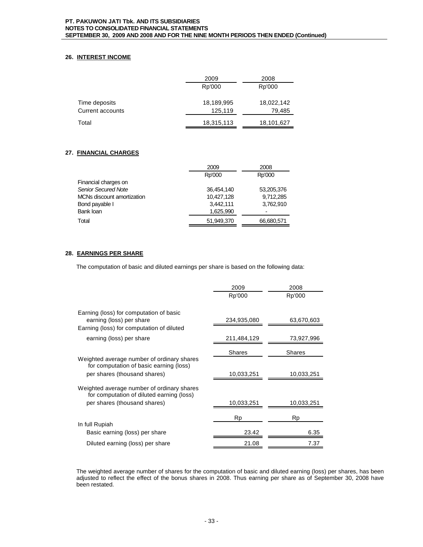# **26. INTEREST INCOME**

|                         | 2009       | 2008       |
|-------------------------|------------|------------|
|                         | Rp'000     | Rp'000     |
| Time deposits           | 18,189,995 | 18,022,142 |
| <b>Current accounts</b> | 125,119    | 79,485     |
| Total                   | 18,315,113 | 18,101,627 |

# **27. FINANCIAL CHARGES**

|                            | 2009       | 2008       |  |
|----------------------------|------------|------------|--|
|                            | Rp'000     | Rp'000     |  |
| Financial charges on       |            |            |  |
| <b>Senior Secured Note</b> | 36,454,140 | 53,205,376 |  |
| MCNs discount amortization | 10.427.128 | 9,712,285  |  |
| Bond payable I             | 3,442,111  | 3,762,910  |  |
| Bank loan                  | 1,625,990  |            |  |
| Total                      | 51,949,370 | 66,680,571 |  |

# **28. EARNINGS PER SHARE**

The computation of basic and diluted earnings per share is based on the following data:

|                                                                                         | 2009          | 2008       |
|-----------------------------------------------------------------------------------------|---------------|------------|
|                                                                                         | Rp'000        | Rp'000     |
|                                                                                         |               |            |
| Earning (loss) for computation of basic<br>earning (loss) per share                     | 234,935,080   | 63,670,603 |
| Earning (loss) for computation of diluted                                               |               |            |
| earning (loss) per share                                                                | 211,484,129   | 73,927,996 |
|                                                                                         | <b>Shares</b> | Shares     |
| Weighted average number of ordinary shares<br>for computation of basic earning (loss)   |               |            |
| per shares (thousand shares)                                                            | 10,033,251    | 10,033,251 |
| Weighted average number of ordinary shares<br>for computation of diluted earning (loss) |               |            |
| per shares (thousand shares)                                                            | 10,033,251    | 10,033,251 |
|                                                                                         | Rp            | Rp         |
| In full Rupiah                                                                          |               |            |
| Basic earning (loss) per share                                                          | 23.42         | 6.35       |
| Diluted earning (loss) per share                                                        | 21.08         | 7.37       |

The weighted average number of shares for the computation of basic and diluted earning (loss) per shares, has been adjusted to reflect the effect of the bonus shares in 2008. Thus earning per share as of September 30, 2008 have been restated.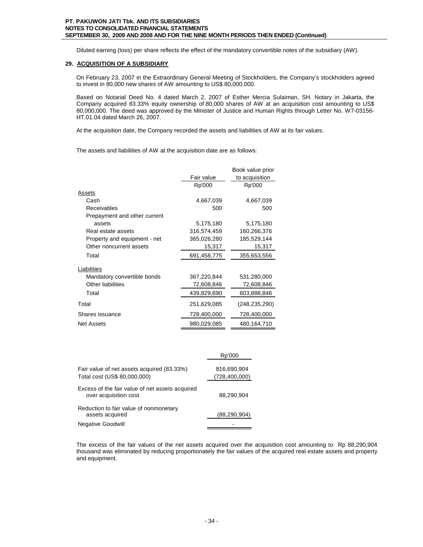Diluted earning (loss) per share reflects the effect of the mandatory convertible notes of the subsidiary (AW).

# **29. ACQUISITION OF A SUBSIDIARY**

On February 23, 2007 in the Extraordinary General Meeting of Stockholders, the Company's stockholders agreed to invest in 80,000 new shares of AW amounting to US\$ 80,000,000.

Based on Notarial Deed No. 4 dated March 2, 2007 of Esther Mercia Sulaiman, SH. Notary in Jakarta, the Company acquired 83.33% equity ownership of 80,000 shares of AW at an acquisition cost amounting to US\$ 80,000,000. The deed was approved by the Minister of Justice and Human Rights through Letter No. W7-03156- HT.01.04 dated March 26, 2007.

At the acquisition date, the Company recorded the assets and liabilities of AW at its fair values.

The assets and liabilities of AW at the acquisition date are as follows:

|                              |             | Book value prior |
|------------------------------|-------------|------------------|
|                              | Fair value  | to acquisition   |
|                              | Rp'000      | Rp'000           |
| Assets                       |             |                  |
| Cash                         | 4,667,039   | 4,667,039        |
| Receivables                  | 500         | 500              |
| Prepayment and other current |             |                  |
| assets                       | 5,175,180   | 5,175,180        |
| Real estate assets           | 316,574,459 | 160,266,376      |
| Property and equipment - net | 365,026,280 | 185,529,144      |
| Other noncurrent assets      | 15,317      | 15,317           |
| Total                        | 691,458,775 | 355,653,556      |
| Liabilities                  |             |                  |
| Mandatory convertible bonds  | 367,220,844 | 531,280,000      |
| <b>Other liabilities</b>     | 72,608,846  | 72,608,846       |
| Total                        | 439,829,690 | 603,888,846      |
| Total                        | 251,629,085 | (248, 235, 290)  |
| Shares issuance              | 728,400,000 | 728,400,000      |
| <b>Net Assets</b>            | 980,029,085 | 480,164,710      |

|                                                                            | Rp'000                         |
|----------------------------------------------------------------------------|--------------------------------|
| Fair value of net assets acquired (83.33%)<br>Total cost (US\$ 80,000,000) | 816,690,904<br>(728, 400, 000) |
| Excess of the fair value of net assets acquired<br>over acquisition cost   | 88,290,904                     |
| Reduction to fair value of nonmonetary<br>assets acquired                  | (88, 290, 904)                 |
| <b>Negative Goodwill</b>                                                   |                                |

The excess of the fair values of the net assets acquired over the acquisition cost amounting to Rp 88,290,904 thousand was eliminated by reducing proportionately the fair values of the acquired real estate assets and property and equipment.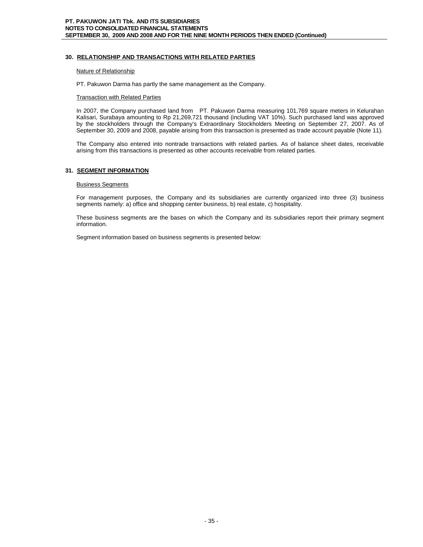# **30. RELATIONSHIP AND TRANSACTIONS WITH RELATED PARTIES**

## Nature of Relationship

PT. Pakuwon Darma has partly the same management as the Company.

## **Transaction with Related Parties**

In 2007, the Company purchased land from PT. Pakuwon Darma measuring 101,769 square meters in Kelurahan Kalisari, Surabaya amounting to Rp 21,269,721 thousand (including VAT 10%). Such purchased land was approved by the stockholders through the Company's Extraordinary Stockholders Meeting on September 27, 2007. As of September 30, 2009 and 2008, payable arising from this transaction is presented as trade account payable (Note 11).

The Company also entered into nontrade transactions with related parties. As of balance sheet dates, receivable arising from this transactions is presented as other accounts receivable from related parties.

# **31. SEGMENT INFORMATION**

## Business Segments

For management purposes, the Company and its subsidiaries are currently organized into three (3) business segments namely: a) office and shopping center business, b) real estate, c) hospitality.

These business segments are the bases on which the Company and its subsidiaries report their primary segment information.

Segment information based on business segments is presented below: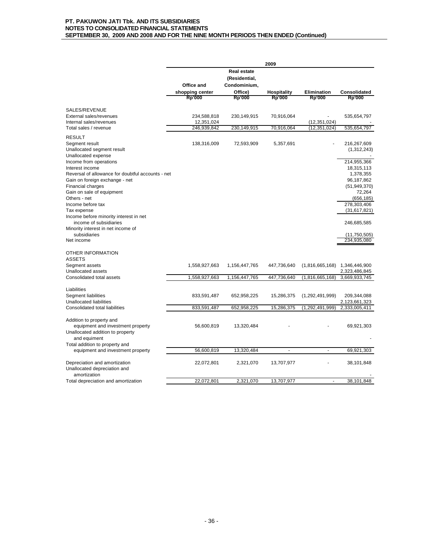|                                                                  | 2009            |                    |                    |                    |                             |
|------------------------------------------------------------------|-----------------|--------------------|--------------------|--------------------|-----------------------------|
|                                                                  |                 | <b>Real estate</b> |                    |                    |                             |
|                                                                  |                 | (Residential,      |                    |                    |                             |
|                                                                  | Office and      | Condominium,       |                    |                    |                             |
|                                                                  | shopping center | Office)            | <b>Hospitality</b> | <b>Elimination</b> | Consolidated                |
|                                                                  | Rp'000          | <b>Rp'000</b>      | Rp'000             | Rp'000             | Rp'000                      |
| SALES/REVENUE                                                    |                 |                    |                    |                    |                             |
| External sales/revenues                                          | 234,588,818     | 230,149,915        | 70,916,064         |                    | 535,654,797                 |
| Internal sales/revenues                                          | 12,351,024      |                    |                    | (12, 351, 024)     |                             |
| Total sales / revenue                                            | 246,939,842     | 230,149,915        | 70,916,064         | (12, 351, 024)     | 535,654,797                 |
| <b>RESULT</b>                                                    |                 |                    |                    |                    |                             |
| Segment result                                                   | 138,316,009     | 72,593,909         | 5,357,691          |                    | 216,267,609                 |
| Unallocated segment result                                       |                 |                    |                    |                    | (1,312,243)                 |
| Unallocated expense                                              |                 |                    |                    |                    |                             |
| Income from operations                                           |                 |                    |                    |                    | 214,955,366                 |
| Interest income                                                  |                 |                    |                    |                    | 18,315,113                  |
| Reversal of allowance for doubtful accounts - net                |                 |                    |                    |                    | 1,378,355                   |
| Gain on foreign exchange - net                                   |                 |                    |                    |                    | 96,187,862                  |
| Financial charges                                                |                 |                    |                    |                    | (51, 949, 370)              |
| Gain on sale of equipment                                        |                 |                    |                    |                    | 72,264                      |
| Others - net                                                     |                 |                    |                    |                    | (656, 185)                  |
| Income before tax                                                |                 |                    |                    |                    | 278,303,406                 |
| Tax expense                                                      |                 |                    |                    |                    | (31, 617, 821)              |
| Income before minority interest in net<br>income of subsidiaries |                 |                    |                    |                    | 246,685,585                 |
| Minority interest in net income of                               |                 |                    |                    |                    |                             |
| subsidiaries<br>Net income                                       |                 |                    |                    |                    | (11,750,505)<br>234,935,080 |
|                                                                  |                 |                    |                    |                    |                             |
| OTHER INFORMATION                                                |                 |                    |                    |                    |                             |
| <b>ASSETS</b>                                                    |                 |                    |                    |                    |                             |
| Segment assets                                                   | 1,558,927,663   | 1,156,447,765      | 447,736,640        | (1,816,665,168)    | 1,346,446,900               |
| Unallocated assets                                               |                 |                    |                    |                    | 2,323,486,845               |
| Consolidated total assets                                        | 1,558,927,663   | 1,156,447,765      | 447,736,640        | (1,816,665,168)    | 3,669,933,745               |
| Liabilities                                                      |                 |                    |                    |                    |                             |
| Segment liabilities                                              | 833,591,487     | 652,958,225        | 15,286,375         | (1,292,491,999)    | 209,344,088                 |
| Unallocated liabilities                                          |                 |                    |                    |                    | 2,123,661,323               |
| Consolidated total liabilities                                   | 833,591,487     | 652,958,225        | 15,286,375         | (1,292,491,999)    | 2,333,005,411               |
| Addition to property and                                         |                 |                    |                    |                    |                             |
| equipment and investment property                                | 56,600,819      | 13,320,484         |                    |                    | 69,921,303                  |
| Unallocated addition to property                                 |                 |                    |                    |                    |                             |
| and equiment                                                     |                 |                    |                    |                    |                             |
| Total addition to property and                                   |                 |                    |                    |                    |                             |
| equipment and investment property                                | 56,600,819      | 13,320,484         | ä,                 | ä,                 | 69,921,303                  |
| Depreciation and amortization                                    | 22,072,801      | 2,321,070          | 13,707,977         |                    | 38,101,848                  |
| Unallocated depreciation and                                     |                 |                    |                    |                    |                             |
| amortization                                                     |                 |                    |                    |                    |                             |
| Total depreciation and amortization                              | 22,072,801      | 2,321,070          | 13,707,977         | $\blacksquare$     | 38,101,848                  |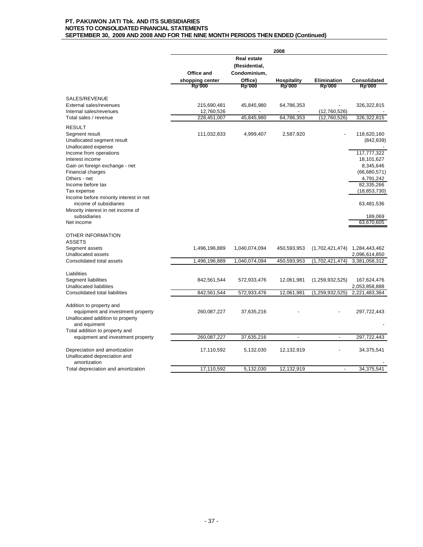|                                                                                                                       | 2008            |                                                     |                          |                          |                              |
|-----------------------------------------------------------------------------------------------------------------------|-----------------|-----------------------------------------------------|--------------------------|--------------------------|------------------------------|
|                                                                                                                       | Office and      | <b>Real estate</b><br>(Residential,<br>Condominium, |                          |                          |                              |
|                                                                                                                       | shopping center | Office)                                             | <b>Hospitality</b>       | <b>Elimination</b>       | Consolidated                 |
|                                                                                                                       | <b>Rp'000</b>   | Rp'000                                              | <b>Rp'000</b>            | <b>Rp'000</b>            | <b>Rp'000</b>                |
| SALES/REVENUE                                                                                                         |                 |                                                     |                          |                          |                              |
| External sales/revenues                                                                                               | 215,690,481     | 45,845,980                                          | 64,786,353               |                          | 326,322,815                  |
| Internal sales/revenues                                                                                               | 12,760,526      |                                                     |                          | (12,760,526)             |                              |
| Total sales / revenue                                                                                                 | 228,451,007     | 45,845,980                                          | 64,786,353               | (12,760,526)             | 326,322,815                  |
| <b>RESULT</b><br>Segment result<br>Unallocated segment result<br>Unallocated expense                                  | 111,032,833     | 4,999,407                                           | 2,587,920                |                          | 118,620,160<br>(842, 839)    |
| Income from operations                                                                                                |                 |                                                     |                          |                          | 117,777,322                  |
| Interest income                                                                                                       |                 |                                                     |                          |                          | 18,101,627                   |
| Gain on foreign exchange - net                                                                                        |                 |                                                     |                          |                          | 8,345,646                    |
| <b>Financial charges</b>                                                                                              |                 |                                                     |                          |                          | (66,680,571)                 |
| Others - net                                                                                                          |                 |                                                     |                          |                          | 4,791,242                    |
| Income before tax                                                                                                     |                 |                                                     |                          |                          | 82,335,266                   |
| Tax expense<br>Income before minority interest in net<br>income of subsidiaries<br>Minority interest in net income of |                 |                                                     |                          |                          | (18, 853, 730)<br>63,481,536 |
| subsidiaries                                                                                                          |                 |                                                     |                          |                          | 189,069                      |
| Net income                                                                                                            |                 |                                                     |                          |                          | 63,670,605                   |
| OTHER INFORMATION<br><b>ASSETS</b><br>Segment assets                                                                  | 1,496,196,889   | 1,040,074,094                                       | 450,593,953              | (1,702,421,474)          | 1,284,443,462                |
| Unallocated assets                                                                                                    |                 |                                                     |                          |                          | 2,096,614,850                |
| Consolidated total assets                                                                                             | 1,496,196,889   | 1,040,074,094                                       | 450,593,953              | (1,702,421,474)          | 3,381,058,312                |
| Liabilities<br><b>Segment liabilities</b><br><b>Unallocated liabilities</b>                                           | 842,561,544     | 572,933,476                                         | 12,061,981               | (1,259,932,525)          | 167,624,476<br>2,053,858,888 |
| Consolidated total liabilities                                                                                        | 842,561,544     | 572,933,476                                         | 12,061,981               | (1, 259, 932, 525)       | 2,221,483,364                |
| Addition to property and<br>equipment and investment property<br>Unallocated addition to property<br>and equiment     | 260,087,227     | 37,635,216                                          |                          |                          | 297,722,443                  |
| Total addition to property and                                                                                        |                 |                                                     |                          |                          |                              |
| equipment and investment property                                                                                     | 260,087,227     | 37,635,216                                          | $\overline{\phantom{a}}$ | $\overline{\phantom{a}}$ | 297,722,443                  |
| Depreciation and amortization<br>Unallocated depreciation and<br>amortization                                         | 17,110,592      | 5,132,030                                           | 12,132,919               |                          | 34,375,541                   |
| Total depreciation and amortization                                                                                   | 17,110,592      | 5,132,030                                           | 12,132,919               | $\overline{\phantom{a}}$ | 34,375,541                   |
|                                                                                                                       |                 |                                                     |                          |                          |                              |